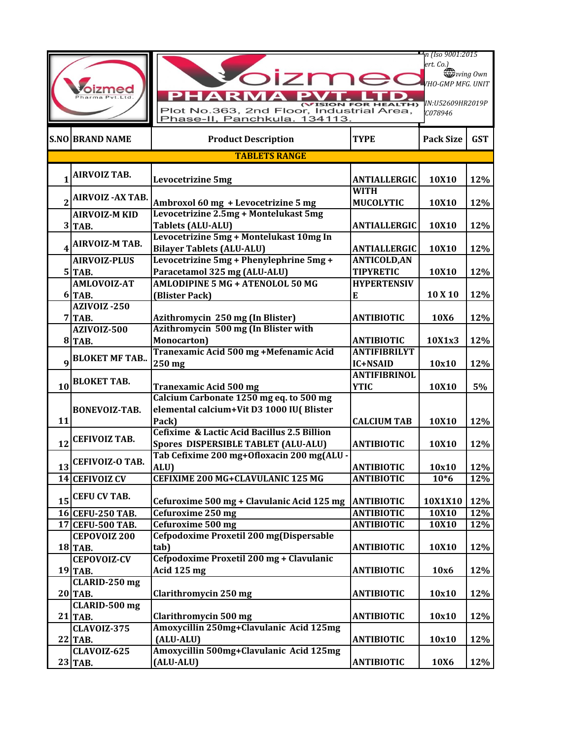| harma Pyt.Ltd.          |                                  | OIZr<br><b>ION FOR HEALTH)</b><br>Plot No.363, 2nd Floor, Industrial Area,<br>Phase-II, Panchkula. 134113. |                                         | n (Iso 9001:2015<br>ert. Co.)<br>wing Own<br><b>VHO-GMP MFG. UNIT</b><br>IN:U52609HR2019P<br>C078946 |            |
|-------------------------|----------------------------------|------------------------------------------------------------------------------------------------------------|-----------------------------------------|------------------------------------------------------------------------------------------------------|------------|
|                         | <b>S.NO BRAND NAME</b>           | <b>Product Description</b>                                                                                 | <b>TYPE</b>                             | <b>Pack Size</b>                                                                                     | <b>GST</b> |
|                         |                                  | <b>TABLETS RANGE</b>                                                                                       |                                         |                                                                                                      |            |
|                         | <b>AIRVOIZ TAB.</b>              | <b>Levocetrizine 5mg</b>                                                                                   | <b>ANTIALLERGIC</b>                     | 10X10                                                                                                | 12%        |
|                         | <b>AIRVOIZ - AX TAB.</b>         | Ambroxol 60 mg + Levocetrizine 5 mg                                                                        | <b>WITH</b><br><b>MUCOLYTIC</b>         | 10X10                                                                                                | 12%        |
|                         | <b>AIRVOIZ-M KID</b><br>$3$ TAB. | Levocetrizine 2.5mg + Montelukast 5mg<br><b>Tablets (ALU-ALU)</b>                                          | <b>ANTIALLERGIC</b>                     | 10X10                                                                                                | 12%        |
| $\overline{\mathbf{4}}$ | <b>AIRVOIZ-M TAB.</b>            | Levocetrizine 5mg + Montelukast 10mg In<br><b>Bilayer Tablets (ALU-ALU)</b>                                | <b>ANTIALLERGIC</b>                     | 10X10                                                                                                | 12%        |
|                         | <b>AIRVOIZ-PLUS</b><br>$5$ TAB.  | Levocetrizine 5mg + Phenylephrine 5mg +<br>Paracetamol 325 mg (ALU-ALU)                                    | <b>ANTICOLD, AN</b><br><b>TIPYRETIC</b> | 10X10                                                                                                | 12%        |
|                         | <b>AMLOVOIZ-AT</b><br>6 TAB.     | AMLODIPINE 5 MG + ATENOLOL 50 MG<br>(Blister Pack)                                                         | <b>HYPERTENSIV</b><br>E                 | 10 X 10                                                                                              | 12%        |
|                         | <b>AZIVOIZ-250</b><br>$7$ TAB.   | Azithromycin 250 mg (In Blister)                                                                           | <b>ANTIBIOTIC</b>                       | 10X6                                                                                                 | 12%        |
|                         | AZIVOIZ-500<br><b>8 TAB.</b>     | Azithromycin 500 mg (In Blister with<br>Monocarton)                                                        | <b>ANTIBIOTIC</b>                       | 10X1x3                                                                                               | 12%        |
| $\boldsymbol{q}$        | <b>BLOKET MF TAB</b>             | Tranexamic Acid 500 mg +Mefenamic Acid<br>250 mg                                                           | <b>ANTIFIBRILYT</b><br>IC+NSAID         | 10x10                                                                                                | 12%        |
| 10 <sup>1</sup>         | <b>BLOKET TAB.</b>               | <b>Tranexamic Acid 500 mg</b>                                                                              | <b>ANTIFIBRINOL</b><br><b>YTIC</b>      | 10X10                                                                                                | 5%         |
| 11                      | BONEVOIZ-TAB.                    | Calcium Carbonate 1250 mg eq. to 500 mg<br>elemental calcium+Vit D3 1000 IU( Blister<br>Pack)              | <b>CALCIUM TAB</b>                      | 10X10                                                                                                | 12%        |
| 12                      | <b>CEFIVOIZ TAB.</b>             | Cefixime & Lactic Acid Bacillus 2.5 Billion<br><b>Spores DISPERSIBLE TABLET (ALU-ALU)</b>                  | <b>ANTIBIOTIC</b>                       | 10X10                                                                                                | 12%        |
|                         | $13$ <sup>CEFIVOIZ-O TAB.</sup>  | Tab Cefixime 200 mg+0floxacin 200 mg(ALU -<br>ALU)                                                         | <b>ANTIBIOTIC</b>                       | 10x10                                                                                                | 12%        |
|                         | 14 CEFIVOIZ CV                   | CEFIXIME 200 MG+CLAVULANIC 125 MG                                                                          | <b>ANTIBIOTIC</b>                       | $10*6$                                                                                               | 12%        |
| 15 <sup>1</sup>         | <b>CEFU CV TAB.</b>              | Cefuroxime 500 mg + Clavulanic Acid 125 mg                                                                 | <b>ANTIBIOTIC</b>                       | 10X1X10                                                                                              | 12%        |
|                         | 16 CEFU-250 TAB.                 | Cefuroxime 250 mg                                                                                          | <b>ANTIBIOTIC</b>                       | 10X10                                                                                                | 12%        |
|                         | 17 CEFU-500 TAB.                 | <b>Cefuroxime 500 mg</b>                                                                                   | <b>ANTIBIOTIC</b>                       | 10X10                                                                                                | 12%        |
|                         | <b>CEPOVOIZ 200</b>              | Cefpodoxime Proxetil 200 mg(Dispersable                                                                    |                                         |                                                                                                      |            |
|                         | 18 TAB.<br><b>CEPOVOIZ-CV</b>    | tab)<br>Cefpodoxime Proxetil 200 mg + Clavulanic                                                           | <b>ANTIBIOTIC</b>                       | 10X10                                                                                                | 12%        |
|                         | $19$ TAB.                        | Acid 125 mg                                                                                                | <b>ANTIBIOTIC</b>                       | 10x6                                                                                                 | 12%        |
|                         | CLARID-250 mg<br><b>20 TAB.</b>  | Clarithromycin 250 mg                                                                                      | <b>ANTIBIOTIC</b>                       | 10x10                                                                                                | 12%        |
|                         | CLARID-500 mg<br>$21$ TAB.       | Clarithromycin 500 mg                                                                                      | <b>ANTIBIOTIC</b>                       | 10x10                                                                                                | 12%        |
|                         | CLAVOIZ-375<br>$22$ TAB.         | Amoxycillin 250mg+Clavulanic Acid 125mg<br>(ALU-ALU)                                                       | <b>ANTIBIOTIC</b>                       | 10x10                                                                                                | 12%        |
|                         | <b>CLAVOIZ-625</b><br>23 TAB.    | Amoxycillin 500mg+Clavulanic Acid 125mg<br>(ALU-ALU)                                                       | <b>ANTIBIOTIC</b>                       | 10X6                                                                                                 | 12%        |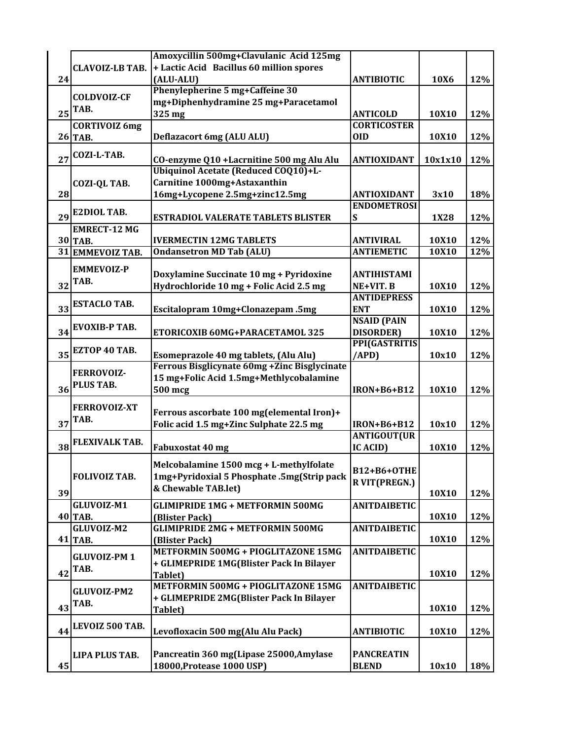|    |                        | Amoxycillin 500mg+Clavulanic Acid 125mg       |                     |         |     |
|----|------------------------|-----------------------------------------------|---------------------|---------|-----|
|    | <b>CLAVOIZ-LB TAB.</b> | + Lactic Acid Bacillus 60 million spores      |                     |         |     |
| 24 |                        | (ALU-ALU)                                     | <b>ANTIBIOTIC</b>   | 10X6    | 12% |
|    |                        | Phenylepherine 5 mg+Caffeine 30               |                     |         |     |
|    | <b>COLDVOIZ-CF</b>     | mg+Diphenhydramine 25 mg+Paracetamol          |                     |         |     |
| 25 | TAB.                   |                                               |                     |         |     |
|    |                        | 325 mg                                        | <b>ANTICOLD</b>     | 10X10   | 12% |
|    | <b>CORTIVOIZ 6mg</b>   |                                               | <b>CORTICOSTER</b>  |         |     |
|    | <b>26 TAB.</b>         | <b>Deflazacort 6mg (ALU ALU)</b>              | <b>OID</b>          | 10X10   | 12% |
|    | <b>COZI-L-TAB.</b>     |                                               |                     |         |     |
| 27 |                        | CO-enzyme Q10 +Lacrnitine 500 mg Alu Alu      | <b>ANTIOXIDANT</b>  | 10x1x10 | 12% |
|    |                        | Ubiquinol Acetate (Reduced COQ10)+L-          |                     |         |     |
|    | <b>COZI-QL TAB.</b>    | Carnitine 1000mg+Astaxanthin                  |                     |         |     |
| 28 |                        | 16mg+Lycopene 2.5mg+zinc12.5mg                | <b>ANTIOXIDANT</b>  | 3x10    | 18% |
|    |                        |                                               | <b>ENDOMETROSI</b>  |         |     |
| 29 | <b>E2DIOL TAB.</b>     | <b>ESTRADIOL VALERATE TABLETS BLISTER</b>     | ${\bf S}$           | 1X28    | 12% |
|    | <b>EMRECT-12 MG</b>    |                                               |                     |         |     |
|    | 30 TAB.                | <b>IVERMECTIN 12MG TABLETS</b>                | <b>ANTIVIRAL</b>    | 10X10   | 12% |
|    | 31 EMMEVOIZ TAB.       | <b>Ondansetron MD Tab (ALU)</b>               | <b>ANTIEMETIC</b>   | 10X10   | 12% |
|    |                        |                                               |                     |         |     |
|    | <b>EMMEVOIZ-P</b>      |                                               |                     |         |     |
|    | TAB.                   | Doxylamine Succinate 10 mg + Pyridoxine       | <b>ANTIHISTAMI</b>  |         |     |
| 32 |                        | Hydrochloride 10 mg + Folic Acid 2.5 mg       | NE+VIT. B           | 10X10   | 12% |
|    | <b>ESTACLO TAB.</b>    |                                               | <b>ANTIDEPRESS</b>  |         |     |
| 33 |                        | Escitalopram 10mg+Clonazepam.5mg              | <b>ENT</b>          | 10X10   | 12% |
|    | <b>EVOXIB-P TAB.</b>   |                                               | <b>NSAID (PAIN</b>  |         |     |
| 34 |                        | ETORICOXIB 60MG+PARACETAMOL 325               | <b>DISORDER</b> )   | 10X10   | 12% |
|    |                        |                                               | PPI(GASTRITIS       |         |     |
| 35 | EZTOP 40 TAB.          | Esomeprazole 40 mg tablets, (Alu Alu)         | (APD)               | 10x10   | 12% |
|    |                        | Ferrous Bisglicynate 60mg + Zinc Bisglycinate |                     |         |     |
|    | <b>FERROVOIZ-</b>      | 15 mg+Folic Acid 1.5mg+Methlycobalamine       |                     |         |     |
| 36 | PLUS TAB.              | 500 mcg                                       | <b>IRON+B6+B12</b>  | 10X10   | 12% |
|    |                        |                                               |                     |         |     |
|    | <b>FERROVOIZ-XT</b>    | Ferrous ascorbate 100 mg(elemental Iron)+     |                     |         |     |
| 37 | TAB.                   |                                               | <b>IRON+B6+B12</b>  |         |     |
|    |                        | Folic acid 1.5 mg+Zinc Sulphate 22.5 mg       |                     | 10x10   | 12% |
|    | <b>FLEXIVALK TAB.</b>  |                                               | <b>ANTIGOUT(UR</b>  |         |     |
| 38 |                        | Fabuxostat 40 mg                              | <b>IC ACID)</b>     | 10X10   | 12% |
|    |                        | Melcobalamine 1500 mcg + L-methylfolate       |                     |         |     |
|    | <b>FOLIVOIZ TAB.</b>   | 1mg+Pyridoxial 5 Phosphate .5mg(Strip pack    | <b>B12+B6+OTHE</b>  |         |     |
|    |                        | & Chewable TAB.let)                           | R VIT(PREGN.)       |         |     |
| 39 |                        |                                               |                     | 10X10   | 12% |
|    | GLUVOIZ-M1             | <b>GLIMIPRIDE 1MG + METFORMIN 500MG</b>       | <b>ANITDAIBETIC</b> |         |     |
|    | $40$ TAB.              | (Blister Pack)                                |                     | 10X10   | 12% |
|    | GLUVOIZ-M2             | <b>GLIMIPRIDE 2MG + METFORMIN 500MG</b>       | <b>ANITDAIBETIC</b> |         |     |
|    | 41 TAB.                | (Blister Pack)                                |                     | 10X10   | 12% |
|    |                        | METFORMIN 500MG + PIOGLITAZONE 15MG           | <b>ANITDAIBETIC</b> |         |     |
|    | <b>GLUVOIZ-PM1</b>     | + GLIMEPRIDE 1MG(Blister Pack In Bilayer      |                     |         |     |
| 42 | TAB.                   | Tablet)                                       |                     | 10X10   | 12% |
|    |                        | METFORMIN 500MG + PIOGLITAZONE 15MG           | <b>ANITDAIBETIC</b> |         |     |
|    | <b>GLUVOIZ-PM2</b>     |                                               |                     |         |     |
|    | TAB.                   | + GLIMEPRIDE 2MG(Blister Pack In Bilayer      |                     |         |     |
| 43 |                        | Tablet)                                       |                     | 10X10   | 12% |
|    | LEVOIZ 500 TAB.        |                                               |                     |         |     |
| 44 |                        | Levofloxacin 500 mg(Alu Alu Pack)             | <b>ANTIBIOTIC</b>   | 10X10   | 12% |
|    |                        |                                               |                     |         |     |
|    | <b>LIPA PLUS TAB.</b>  | Pancreatin 360 mg(Lipase 25000, Amylase       | <b>PANCREATIN</b>   |         |     |
| 45 |                        | 18000, Protease 1000 USP)                     | <b>BLEND</b>        | 10x10   | 18% |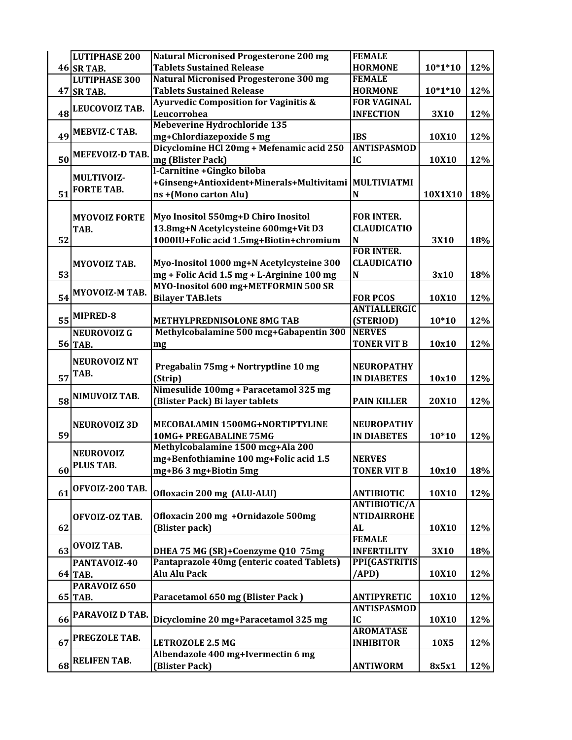| <b>Tablets Sustained Release</b><br><b>46 SR TAB.</b><br><b>HORMONE</b><br>$10*1*10$<br>12%<br><b>Natural Micronised Progesterone 300 mg</b><br><b>LUTIPHASE 300</b><br><b>FEMALE</b><br><b>Tablets Sustained Release</b><br><b>HORMONE</b><br>$10*1*10$<br>12%<br><b>47 SR TAB.</b><br><b>Ayurvedic Composition for Vaginitis &amp;</b><br><b>FOR VAGINAL</b><br>LEUCOVOIZ TAB.<br>48<br>Leucorrohea<br><b>INFECTION</b><br>12%<br>3X10<br>Mebeverine Hydrochloride 135<br>MEBVIZ-C TAB.<br>49<br>mg+Chlordiazepoxide 5 mg<br><b>IBS</b><br>12%<br>10X10<br>Dicyclomine HCl 20mg + Mefenamic acid 250<br><b>ANTISPASMOD</b><br><b>MEFEVOIZ-D TAB.</b><br>50<br>mg (Blister Pack)<br>IC<br>10X10<br>12%<br>l-Carnitine + Gingko biloba<br><b>MULTIVOIZ-</b><br>+Ginseng+Antioxident+Minerals+Multivitami<br>MULTIVIATMI<br><b>FORTE TAB.</b><br>51<br>ns + (Mono carton Alu)<br>10X1X10<br>18%<br>N<br>Myo Inositol 550mg+D Chiro Inositol<br><b>FOR INTER.</b><br><b>MYOVOIZ FORTE</b><br>13.8mg+N Acetylcysteine 600mg+Vit D3<br><b>CLAUDICATIO</b><br>TAB.<br>1000IU+Folic acid 1.5mg+Biotin+chromium<br>52<br>N<br>3X10<br>18%<br><b>FOR INTER.</b><br>Myo-Inositol 1000 mg+N Acetylcysteine 300<br><b>CLAUDICATIO</b><br><b>MYOVOIZ TAB.</b><br>mg + Folic Acid 1.5 mg + L-Arginine 100 mg<br>53<br>$\mathbf N$<br>3x10<br>18%<br>MYO-Inositol 600 mg+METFORMIN 500 SR<br>MYOVOIZ-M TAB.<br>54<br><b>Bilayer TAB.lets</b><br><b>FOR PCOS</b><br>10X10<br>12%<br><b>ANTIALLERGIC</b><br>MIPRED-8<br>55<br><b>METHYLPREDNISOLONE 8MG TAB</b><br>(STERIOD)<br>$10*10$<br>12%<br>Methylcobalamine 500 mcg+Gabapentin 300<br><b>NERVES</b><br><b>NEUROVOIZ G</b><br>56 TAB.<br><b>TONER VIT B</b><br>10x10<br>12%<br>mg<br><b>NEUROVOIZ NT</b><br>Pregabalin 75mg + Nortryptline 10 mg<br><b>NEUROPATHY</b><br>TAB.<br>57<br><b>IN DIABETES</b><br>10x10<br>(Strip)<br>12%<br>Nimesulide 100mg + Paracetamol 325 mg<br>NIMUVOIZ TAB.<br>58<br>(Blister Pack) Bi layer tablets<br><b>PAIN KILLER</b><br>20X10<br>12%<br>MECOBALAMIN 1500MG+NORTIPTYLINE<br><b>NEUROPATHY</b><br><b>NEUROVOIZ 3D</b><br>59<br>10MG+ PREGABALINE 75MG<br><b>IN DIABETES</b><br>$10*10$<br>12%<br>Methylcobalamine 1500 mcg+Ala 200<br><b>NEUROVOIZ</b><br>mg+Benfothiamine 100 mg+Folic acid 1.5<br><b>NERVES</b><br><b>PLUS TAB.</b><br>mg+B6 3 mg+Biotin 5mg<br>10x10<br>60<br>TONER VIT B<br>18%<br>OFVOIZ-200 TAB.<br>61<br>Ofloxacin 200 mg (ALU-ALU)<br><b>ANTIBIOTIC</b><br>10X10<br>12%<br><b>ANTIBIOTIC/A</b><br>Ofloxacin 200 mg + Ornidazole 500mg<br><b>NTIDAIRROHE</b><br>OFVOIZ-OZ TAB.<br>(Blister pack)<br>62<br><b>AL</b><br>10X10<br>12%<br><b>FEMALE</b><br><b>OVOIZ TAB.</b><br>63<br><b>INFERTILITY</b><br>DHEA 75 MG (SR)+Coenzyme Q10 75mg<br>3X10<br>18%<br>Pantaprazole 40mg (enteric coated Tablets)<br><b>PPI(GASTRITIS</b><br>PANTAVOIZ-40<br><b>Alu Alu Pack</b><br>/APD)<br>64 TAB.<br>10X10<br>12%<br>PARAVOIZ 650<br>Paracetamol 650 mg (Blister Pack)<br><b>ANTIPYRETIC</b><br>10X10<br>12%<br>65 TAB.<br><b>ANTISPASMOD</b><br>PARAVOIZ D TAB.<br>IC<br>66<br>Dicyclomine 20 mg+Paracetamol 325 mg<br>10X10<br>12%<br><b>AROMATASE</b><br>PREGZOLE TAB.<br><b>INHIBITOR</b><br>67<br>10X5<br>12%<br><b>LETROZOLE 2.5 MG</b><br>Albendazole 400 mg+Ivermectin 6 mg<br><b>RELIFEN TAB.</b><br>68<br>(Blister Pack)<br><b>ANTIWORM</b><br>8x5x1 | <b>LUTIPHASE 200</b> | <b>Natural Micronised Progesterone 200 mg</b> | <b>FEMALE</b> |  |
|-------------------------------------------------------------------------------------------------------------------------------------------------------------------------------------------------------------------------------------------------------------------------------------------------------------------------------------------------------------------------------------------------------------------------------------------------------------------------------------------------------------------------------------------------------------------------------------------------------------------------------------------------------------------------------------------------------------------------------------------------------------------------------------------------------------------------------------------------------------------------------------------------------------------------------------------------------------------------------------------------------------------------------------------------------------------------------------------------------------------------------------------------------------------------------------------------------------------------------------------------------------------------------------------------------------------------------------------------------------------------------------------------------------------------------------------------------------------------------------------------------------------------------------------------------------------------------------------------------------------------------------------------------------------------------------------------------------------------------------------------------------------------------------------------------------------------------------------------------------------------------------------------------------------------------------------------------------------------------------------------------------------------------------------------------------------------------------------------------------------------------------------------------------------------------------------------------------------------------------------------------------------------------------------------------------------------------------------------------------------------------------------------------------------------------------------------------------------------------------------------------------------------------------------------------------------------------------------------------------------------------------------------------------------------------------------------------------------------------------------------------------------------------------------------------------------------------------------------------------------------------------------------------------------------------------------------------------------------------------------------------------------------------------------------------------------------------------------------------------------------------------------------------------------------------------------------------------------------------------------------------------------------------------------------------------------------------------------------------------|----------------------|-----------------------------------------------|---------------|--|
|                                                                                                                                                                                                                                                                                                                                                                                                                                                                                                                                                                                                                                                                                                                                                                                                                                                                                                                                                                                                                                                                                                                                                                                                                                                                                                                                                                                                                                                                                                                                                                                                                                                                                                                                                                                                                                                                                                                                                                                                                                                                                                                                                                                                                                                                                                                                                                                                                                                                                                                                                                                                                                                                                                                                                                                                                                                                                                                                                                                                                                                                                                                                                                                                                                                                                                                                                             |                      |                                               |               |  |
|                                                                                                                                                                                                                                                                                                                                                                                                                                                                                                                                                                                                                                                                                                                                                                                                                                                                                                                                                                                                                                                                                                                                                                                                                                                                                                                                                                                                                                                                                                                                                                                                                                                                                                                                                                                                                                                                                                                                                                                                                                                                                                                                                                                                                                                                                                                                                                                                                                                                                                                                                                                                                                                                                                                                                                                                                                                                                                                                                                                                                                                                                                                                                                                                                                                                                                                                                             |                      |                                               |               |  |
|                                                                                                                                                                                                                                                                                                                                                                                                                                                                                                                                                                                                                                                                                                                                                                                                                                                                                                                                                                                                                                                                                                                                                                                                                                                                                                                                                                                                                                                                                                                                                                                                                                                                                                                                                                                                                                                                                                                                                                                                                                                                                                                                                                                                                                                                                                                                                                                                                                                                                                                                                                                                                                                                                                                                                                                                                                                                                                                                                                                                                                                                                                                                                                                                                                                                                                                                                             |                      |                                               |               |  |
|                                                                                                                                                                                                                                                                                                                                                                                                                                                                                                                                                                                                                                                                                                                                                                                                                                                                                                                                                                                                                                                                                                                                                                                                                                                                                                                                                                                                                                                                                                                                                                                                                                                                                                                                                                                                                                                                                                                                                                                                                                                                                                                                                                                                                                                                                                                                                                                                                                                                                                                                                                                                                                                                                                                                                                                                                                                                                                                                                                                                                                                                                                                                                                                                                                                                                                                                                             |                      |                                               |               |  |
|                                                                                                                                                                                                                                                                                                                                                                                                                                                                                                                                                                                                                                                                                                                                                                                                                                                                                                                                                                                                                                                                                                                                                                                                                                                                                                                                                                                                                                                                                                                                                                                                                                                                                                                                                                                                                                                                                                                                                                                                                                                                                                                                                                                                                                                                                                                                                                                                                                                                                                                                                                                                                                                                                                                                                                                                                                                                                                                                                                                                                                                                                                                                                                                                                                                                                                                                                             |                      |                                               |               |  |
|                                                                                                                                                                                                                                                                                                                                                                                                                                                                                                                                                                                                                                                                                                                                                                                                                                                                                                                                                                                                                                                                                                                                                                                                                                                                                                                                                                                                                                                                                                                                                                                                                                                                                                                                                                                                                                                                                                                                                                                                                                                                                                                                                                                                                                                                                                                                                                                                                                                                                                                                                                                                                                                                                                                                                                                                                                                                                                                                                                                                                                                                                                                                                                                                                                                                                                                                                             |                      |                                               |               |  |
|                                                                                                                                                                                                                                                                                                                                                                                                                                                                                                                                                                                                                                                                                                                                                                                                                                                                                                                                                                                                                                                                                                                                                                                                                                                                                                                                                                                                                                                                                                                                                                                                                                                                                                                                                                                                                                                                                                                                                                                                                                                                                                                                                                                                                                                                                                                                                                                                                                                                                                                                                                                                                                                                                                                                                                                                                                                                                                                                                                                                                                                                                                                                                                                                                                                                                                                                                             |                      |                                               |               |  |
|                                                                                                                                                                                                                                                                                                                                                                                                                                                                                                                                                                                                                                                                                                                                                                                                                                                                                                                                                                                                                                                                                                                                                                                                                                                                                                                                                                                                                                                                                                                                                                                                                                                                                                                                                                                                                                                                                                                                                                                                                                                                                                                                                                                                                                                                                                                                                                                                                                                                                                                                                                                                                                                                                                                                                                                                                                                                                                                                                                                                                                                                                                                                                                                                                                                                                                                                                             |                      |                                               |               |  |
|                                                                                                                                                                                                                                                                                                                                                                                                                                                                                                                                                                                                                                                                                                                                                                                                                                                                                                                                                                                                                                                                                                                                                                                                                                                                                                                                                                                                                                                                                                                                                                                                                                                                                                                                                                                                                                                                                                                                                                                                                                                                                                                                                                                                                                                                                                                                                                                                                                                                                                                                                                                                                                                                                                                                                                                                                                                                                                                                                                                                                                                                                                                                                                                                                                                                                                                                                             |                      |                                               |               |  |
|                                                                                                                                                                                                                                                                                                                                                                                                                                                                                                                                                                                                                                                                                                                                                                                                                                                                                                                                                                                                                                                                                                                                                                                                                                                                                                                                                                                                                                                                                                                                                                                                                                                                                                                                                                                                                                                                                                                                                                                                                                                                                                                                                                                                                                                                                                                                                                                                                                                                                                                                                                                                                                                                                                                                                                                                                                                                                                                                                                                                                                                                                                                                                                                                                                                                                                                                                             |                      |                                               |               |  |
|                                                                                                                                                                                                                                                                                                                                                                                                                                                                                                                                                                                                                                                                                                                                                                                                                                                                                                                                                                                                                                                                                                                                                                                                                                                                                                                                                                                                                                                                                                                                                                                                                                                                                                                                                                                                                                                                                                                                                                                                                                                                                                                                                                                                                                                                                                                                                                                                                                                                                                                                                                                                                                                                                                                                                                                                                                                                                                                                                                                                                                                                                                                                                                                                                                                                                                                                                             |                      |                                               |               |  |
|                                                                                                                                                                                                                                                                                                                                                                                                                                                                                                                                                                                                                                                                                                                                                                                                                                                                                                                                                                                                                                                                                                                                                                                                                                                                                                                                                                                                                                                                                                                                                                                                                                                                                                                                                                                                                                                                                                                                                                                                                                                                                                                                                                                                                                                                                                                                                                                                                                                                                                                                                                                                                                                                                                                                                                                                                                                                                                                                                                                                                                                                                                                                                                                                                                                                                                                                                             |                      |                                               |               |  |
|                                                                                                                                                                                                                                                                                                                                                                                                                                                                                                                                                                                                                                                                                                                                                                                                                                                                                                                                                                                                                                                                                                                                                                                                                                                                                                                                                                                                                                                                                                                                                                                                                                                                                                                                                                                                                                                                                                                                                                                                                                                                                                                                                                                                                                                                                                                                                                                                                                                                                                                                                                                                                                                                                                                                                                                                                                                                                                                                                                                                                                                                                                                                                                                                                                                                                                                                                             |                      |                                               |               |  |
|                                                                                                                                                                                                                                                                                                                                                                                                                                                                                                                                                                                                                                                                                                                                                                                                                                                                                                                                                                                                                                                                                                                                                                                                                                                                                                                                                                                                                                                                                                                                                                                                                                                                                                                                                                                                                                                                                                                                                                                                                                                                                                                                                                                                                                                                                                                                                                                                                                                                                                                                                                                                                                                                                                                                                                                                                                                                                                                                                                                                                                                                                                                                                                                                                                                                                                                                                             |                      |                                               |               |  |
|                                                                                                                                                                                                                                                                                                                                                                                                                                                                                                                                                                                                                                                                                                                                                                                                                                                                                                                                                                                                                                                                                                                                                                                                                                                                                                                                                                                                                                                                                                                                                                                                                                                                                                                                                                                                                                                                                                                                                                                                                                                                                                                                                                                                                                                                                                                                                                                                                                                                                                                                                                                                                                                                                                                                                                                                                                                                                                                                                                                                                                                                                                                                                                                                                                                                                                                                                             |                      |                                               |               |  |
|                                                                                                                                                                                                                                                                                                                                                                                                                                                                                                                                                                                                                                                                                                                                                                                                                                                                                                                                                                                                                                                                                                                                                                                                                                                                                                                                                                                                                                                                                                                                                                                                                                                                                                                                                                                                                                                                                                                                                                                                                                                                                                                                                                                                                                                                                                                                                                                                                                                                                                                                                                                                                                                                                                                                                                                                                                                                                                                                                                                                                                                                                                                                                                                                                                                                                                                                                             |                      |                                               |               |  |
|                                                                                                                                                                                                                                                                                                                                                                                                                                                                                                                                                                                                                                                                                                                                                                                                                                                                                                                                                                                                                                                                                                                                                                                                                                                                                                                                                                                                                                                                                                                                                                                                                                                                                                                                                                                                                                                                                                                                                                                                                                                                                                                                                                                                                                                                                                                                                                                                                                                                                                                                                                                                                                                                                                                                                                                                                                                                                                                                                                                                                                                                                                                                                                                                                                                                                                                                                             |                      |                                               |               |  |
|                                                                                                                                                                                                                                                                                                                                                                                                                                                                                                                                                                                                                                                                                                                                                                                                                                                                                                                                                                                                                                                                                                                                                                                                                                                                                                                                                                                                                                                                                                                                                                                                                                                                                                                                                                                                                                                                                                                                                                                                                                                                                                                                                                                                                                                                                                                                                                                                                                                                                                                                                                                                                                                                                                                                                                                                                                                                                                                                                                                                                                                                                                                                                                                                                                                                                                                                                             |                      |                                               |               |  |
|                                                                                                                                                                                                                                                                                                                                                                                                                                                                                                                                                                                                                                                                                                                                                                                                                                                                                                                                                                                                                                                                                                                                                                                                                                                                                                                                                                                                                                                                                                                                                                                                                                                                                                                                                                                                                                                                                                                                                                                                                                                                                                                                                                                                                                                                                                                                                                                                                                                                                                                                                                                                                                                                                                                                                                                                                                                                                                                                                                                                                                                                                                                                                                                                                                                                                                                                                             |                      |                                               |               |  |
|                                                                                                                                                                                                                                                                                                                                                                                                                                                                                                                                                                                                                                                                                                                                                                                                                                                                                                                                                                                                                                                                                                                                                                                                                                                                                                                                                                                                                                                                                                                                                                                                                                                                                                                                                                                                                                                                                                                                                                                                                                                                                                                                                                                                                                                                                                                                                                                                                                                                                                                                                                                                                                                                                                                                                                                                                                                                                                                                                                                                                                                                                                                                                                                                                                                                                                                                                             |                      |                                               |               |  |
|                                                                                                                                                                                                                                                                                                                                                                                                                                                                                                                                                                                                                                                                                                                                                                                                                                                                                                                                                                                                                                                                                                                                                                                                                                                                                                                                                                                                                                                                                                                                                                                                                                                                                                                                                                                                                                                                                                                                                                                                                                                                                                                                                                                                                                                                                                                                                                                                                                                                                                                                                                                                                                                                                                                                                                                                                                                                                                                                                                                                                                                                                                                                                                                                                                                                                                                                                             |                      |                                               |               |  |
|                                                                                                                                                                                                                                                                                                                                                                                                                                                                                                                                                                                                                                                                                                                                                                                                                                                                                                                                                                                                                                                                                                                                                                                                                                                                                                                                                                                                                                                                                                                                                                                                                                                                                                                                                                                                                                                                                                                                                                                                                                                                                                                                                                                                                                                                                                                                                                                                                                                                                                                                                                                                                                                                                                                                                                                                                                                                                                                                                                                                                                                                                                                                                                                                                                                                                                                                                             |                      |                                               |               |  |
| 12%                                                                                                                                                                                                                                                                                                                                                                                                                                                                                                                                                                                                                                                                                                                                                                                                                                                                                                                                                                                                                                                                                                                                                                                                                                                                                                                                                                                                                                                                                                                                                                                                                                                                                                                                                                                                                                                                                                                                                                                                                                                                                                                                                                                                                                                                                                                                                                                                                                                                                                                                                                                                                                                                                                                                                                                                                                                                                                                                                                                                                                                                                                                                                                                                                                                                                                                                                         |                      |                                               |               |  |
|                                                                                                                                                                                                                                                                                                                                                                                                                                                                                                                                                                                                                                                                                                                                                                                                                                                                                                                                                                                                                                                                                                                                                                                                                                                                                                                                                                                                                                                                                                                                                                                                                                                                                                                                                                                                                                                                                                                                                                                                                                                                                                                                                                                                                                                                                                                                                                                                                                                                                                                                                                                                                                                                                                                                                                                                                                                                                                                                                                                                                                                                                                                                                                                                                                                                                                                                                             |                      |                                               |               |  |
|                                                                                                                                                                                                                                                                                                                                                                                                                                                                                                                                                                                                                                                                                                                                                                                                                                                                                                                                                                                                                                                                                                                                                                                                                                                                                                                                                                                                                                                                                                                                                                                                                                                                                                                                                                                                                                                                                                                                                                                                                                                                                                                                                                                                                                                                                                                                                                                                                                                                                                                                                                                                                                                                                                                                                                                                                                                                                                                                                                                                                                                                                                                                                                                                                                                                                                                                                             |                      |                                               |               |  |
|                                                                                                                                                                                                                                                                                                                                                                                                                                                                                                                                                                                                                                                                                                                                                                                                                                                                                                                                                                                                                                                                                                                                                                                                                                                                                                                                                                                                                                                                                                                                                                                                                                                                                                                                                                                                                                                                                                                                                                                                                                                                                                                                                                                                                                                                                                                                                                                                                                                                                                                                                                                                                                                                                                                                                                                                                                                                                                                                                                                                                                                                                                                                                                                                                                                                                                                                                             |                      |                                               |               |  |
|                                                                                                                                                                                                                                                                                                                                                                                                                                                                                                                                                                                                                                                                                                                                                                                                                                                                                                                                                                                                                                                                                                                                                                                                                                                                                                                                                                                                                                                                                                                                                                                                                                                                                                                                                                                                                                                                                                                                                                                                                                                                                                                                                                                                                                                                                                                                                                                                                                                                                                                                                                                                                                                                                                                                                                                                                                                                                                                                                                                                                                                                                                                                                                                                                                                                                                                                                             |                      |                                               |               |  |
|                                                                                                                                                                                                                                                                                                                                                                                                                                                                                                                                                                                                                                                                                                                                                                                                                                                                                                                                                                                                                                                                                                                                                                                                                                                                                                                                                                                                                                                                                                                                                                                                                                                                                                                                                                                                                                                                                                                                                                                                                                                                                                                                                                                                                                                                                                                                                                                                                                                                                                                                                                                                                                                                                                                                                                                                                                                                                                                                                                                                                                                                                                                                                                                                                                                                                                                                                             |                      |                                               |               |  |
|                                                                                                                                                                                                                                                                                                                                                                                                                                                                                                                                                                                                                                                                                                                                                                                                                                                                                                                                                                                                                                                                                                                                                                                                                                                                                                                                                                                                                                                                                                                                                                                                                                                                                                                                                                                                                                                                                                                                                                                                                                                                                                                                                                                                                                                                                                                                                                                                                                                                                                                                                                                                                                                                                                                                                                                                                                                                                                                                                                                                                                                                                                                                                                                                                                                                                                                                                             |                      |                                               |               |  |
|                                                                                                                                                                                                                                                                                                                                                                                                                                                                                                                                                                                                                                                                                                                                                                                                                                                                                                                                                                                                                                                                                                                                                                                                                                                                                                                                                                                                                                                                                                                                                                                                                                                                                                                                                                                                                                                                                                                                                                                                                                                                                                                                                                                                                                                                                                                                                                                                                                                                                                                                                                                                                                                                                                                                                                                                                                                                                                                                                                                                                                                                                                                                                                                                                                                                                                                                                             |                      |                                               |               |  |
|                                                                                                                                                                                                                                                                                                                                                                                                                                                                                                                                                                                                                                                                                                                                                                                                                                                                                                                                                                                                                                                                                                                                                                                                                                                                                                                                                                                                                                                                                                                                                                                                                                                                                                                                                                                                                                                                                                                                                                                                                                                                                                                                                                                                                                                                                                                                                                                                                                                                                                                                                                                                                                                                                                                                                                                                                                                                                                                                                                                                                                                                                                                                                                                                                                                                                                                                                             |                      |                                               |               |  |
|                                                                                                                                                                                                                                                                                                                                                                                                                                                                                                                                                                                                                                                                                                                                                                                                                                                                                                                                                                                                                                                                                                                                                                                                                                                                                                                                                                                                                                                                                                                                                                                                                                                                                                                                                                                                                                                                                                                                                                                                                                                                                                                                                                                                                                                                                                                                                                                                                                                                                                                                                                                                                                                                                                                                                                                                                                                                                                                                                                                                                                                                                                                                                                                                                                                                                                                                                             |                      |                                               |               |  |
|                                                                                                                                                                                                                                                                                                                                                                                                                                                                                                                                                                                                                                                                                                                                                                                                                                                                                                                                                                                                                                                                                                                                                                                                                                                                                                                                                                                                                                                                                                                                                                                                                                                                                                                                                                                                                                                                                                                                                                                                                                                                                                                                                                                                                                                                                                                                                                                                                                                                                                                                                                                                                                                                                                                                                                                                                                                                                                                                                                                                                                                                                                                                                                                                                                                                                                                                                             |                      |                                               |               |  |
|                                                                                                                                                                                                                                                                                                                                                                                                                                                                                                                                                                                                                                                                                                                                                                                                                                                                                                                                                                                                                                                                                                                                                                                                                                                                                                                                                                                                                                                                                                                                                                                                                                                                                                                                                                                                                                                                                                                                                                                                                                                                                                                                                                                                                                                                                                                                                                                                                                                                                                                                                                                                                                                                                                                                                                                                                                                                                                                                                                                                                                                                                                                                                                                                                                                                                                                                                             |                      |                                               |               |  |
|                                                                                                                                                                                                                                                                                                                                                                                                                                                                                                                                                                                                                                                                                                                                                                                                                                                                                                                                                                                                                                                                                                                                                                                                                                                                                                                                                                                                                                                                                                                                                                                                                                                                                                                                                                                                                                                                                                                                                                                                                                                                                                                                                                                                                                                                                                                                                                                                                                                                                                                                                                                                                                                                                                                                                                                                                                                                                                                                                                                                                                                                                                                                                                                                                                                                                                                                                             |                      |                                               |               |  |
|                                                                                                                                                                                                                                                                                                                                                                                                                                                                                                                                                                                                                                                                                                                                                                                                                                                                                                                                                                                                                                                                                                                                                                                                                                                                                                                                                                                                                                                                                                                                                                                                                                                                                                                                                                                                                                                                                                                                                                                                                                                                                                                                                                                                                                                                                                                                                                                                                                                                                                                                                                                                                                                                                                                                                                                                                                                                                                                                                                                                                                                                                                                                                                                                                                                                                                                                                             |                      |                                               |               |  |
|                                                                                                                                                                                                                                                                                                                                                                                                                                                                                                                                                                                                                                                                                                                                                                                                                                                                                                                                                                                                                                                                                                                                                                                                                                                                                                                                                                                                                                                                                                                                                                                                                                                                                                                                                                                                                                                                                                                                                                                                                                                                                                                                                                                                                                                                                                                                                                                                                                                                                                                                                                                                                                                                                                                                                                                                                                                                                                                                                                                                                                                                                                                                                                                                                                                                                                                                                             |                      |                                               |               |  |
|                                                                                                                                                                                                                                                                                                                                                                                                                                                                                                                                                                                                                                                                                                                                                                                                                                                                                                                                                                                                                                                                                                                                                                                                                                                                                                                                                                                                                                                                                                                                                                                                                                                                                                                                                                                                                                                                                                                                                                                                                                                                                                                                                                                                                                                                                                                                                                                                                                                                                                                                                                                                                                                                                                                                                                                                                                                                                                                                                                                                                                                                                                                                                                                                                                                                                                                                                             |                      |                                               |               |  |
|                                                                                                                                                                                                                                                                                                                                                                                                                                                                                                                                                                                                                                                                                                                                                                                                                                                                                                                                                                                                                                                                                                                                                                                                                                                                                                                                                                                                                                                                                                                                                                                                                                                                                                                                                                                                                                                                                                                                                                                                                                                                                                                                                                                                                                                                                                                                                                                                                                                                                                                                                                                                                                                                                                                                                                                                                                                                                                                                                                                                                                                                                                                                                                                                                                                                                                                                                             |                      |                                               |               |  |
|                                                                                                                                                                                                                                                                                                                                                                                                                                                                                                                                                                                                                                                                                                                                                                                                                                                                                                                                                                                                                                                                                                                                                                                                                                                                                                                                                                                                                                                                                                                                                                                                                                                                                                                                                                                                                                                                                                                                                                                                                                                                                                                                                                                                                                                                                                                                                                                                                                                                                                                                                                                                                                                                                                                                                                                                                                                                                                                                                                                                                                                                                                                                                                                                                                                                                                                                                             |                      |                                               |               |  |
|                                                                                                                                                                                                                                                                                                                                                                                                                                                                                                                                                                                                                                                                                                                                                                                                                                                                                                                                                                                                                                                                                                                                                                                                                                                                                                                                                                                                                                                                                                                                                                                                                                                                                                                                                                                                                                                                                                                                                                                                                                                                                                                                                                                                                                                                                                                                                                                                                                                                                                                                                                                                                                                                                                                                                                                                                                                                                                                                                                                                                                                                                                                                                                                                                                                                                                                                                             |                      |                                               |               |  |
|                                                                                                                                                                                                                                                                                                                                                                                                                                                                                                                                                                                                                                                                                                                                                                                                                                                                                                                                                                                                                                                                                                                                                                                                                                                                                                                                                                                                                                                                                                                                                                                                                                                                                                                                                                                                                                                                                                                                                                                                                                                                                                                                                                                                                                                                                                                                                                                                                                                                                                                                                                                                                                                                                                                                                                                                                                                                                                                                                                                                                                                                                                                                                                                                                                                                                                                                                             |                      |                                               |               |  |
|                                                                                                                                                                                                                                                                                                                                                                                                                                                                                                                                                                                                                                                                                                                                                                                                                                                                                                                                                                                                                                                                                                                                                                                                                                                                                                                                                                                                                                                                                                                                                                                                                                                                                                                                                                                                                                                                                                                                                                                                                                                                                                                                                                                                                                                                                                                                                                                                                                                                                                                                                                                                                                                                                                                                                                                                                                                                                                                                                                                                                                                                                                                                                                                                                                                                                                                                                             |                      |                                               |               |  |
|                                                                                                                                                                                                                                                                                                                                                                                                                                                                                                                                                                                                                                                                                                                                                                                                                                                                                                                                                                                                                                                                                                                                                                                                                                                                                                                                                                                                                                                                                                                                                                                                                                                                                                                                                                                                                                                                                                                                                                                                                                                                                                                                                                                                                                                                                                                                                                                                                                                                                                                                                                                                                                                                                                                                                                                                                                                                                                                                                                                                                                                                                                                                                                                                                                                                                                                                                             |                      |                                               |               |  |
|                                                                                                                                                                                                                                                                                                                                                                                                                                                                                                                                                                                                                                                                                                                                                                                                                                                                                                                                                                                                                                                                                                                                                                                                                                                                                                                                                                                                                                                                                                                                                                                                                                                                                                                                                                                                                                                                                                                                                                                                                                                                                                                                                                                                                                                                                                                                                                                                                                                                                                                                                                                                                                                                                                                                                                                                                                                                                                                                                                                                                                                                                                                                                                                                                                                                                                                                                             |                      |                                               |               |  |
|                                                                                                                                                                                                                                                                                                                                                                                                                                                                                                                                                                                                                                                                                                                                                                                                                                                                                                                                                                                                                                                                                                                                                                                                                                                                                                                                                                                                                                                                                                                                                                                                                                                                                                                                                                                                                                                                                                                                                                                                                                                                                                                                                                                                                                                                                                                                                                                                                                                                                                                                                                                                                                                                                                                                                                                                                                                                                                                                                                                                                                                                                                                                                                                                                                                                                                                                                             |                      |                                               |               |  |
|                                                                                                                                                                                                                                                                                                                                                                                                                                                                                                                                                                                                                                                                                                                                                                                                                                                                                                                                                                                                                                                                                                                                                                                                                                                                                                                                                                                                                                                                                                                                                                                                                                                                                                                                                                                                                                                                                                                                                                                                                                                                                                                                                                                                                                                                                                                                                                                                                                                                                                                                                                                                                                                                                                                                                                                                                                                                                                                                                                                                                                                                                                                                                                                                                                                                                                                                                             |                      |                                               |               |  |
|                                                                                                                                                                                                                                                                                                                                                                                                                                                                                                                                                                                                                                                                                                                                                                                                                                                                                                                                                                                                                                                                                                                                                                                                                                                                                                                                                                                                                                                                                                                                                                                                                                                                                                                                                                                                                                                                                                                                                                                                                                                                                                                                                                                                                                                                                                                                                                                                                                                                                                                                                                                                                                                                                                                                                                                                                                                                                                                                                                                                                                                                                                                                                                                                                                                                                                                                                             |                      |                                               |               |  |
|                                                                                                                                                                                                                                                                                                                                                                                                                                                                                                                                                                                                                                                                                                                                                                                                                                                                                                                                                                                                                                                                                                                                                                                                                                                                                                                                                                                                                                                                                                                                                                                                                                                                                                                                                                                                                                                                                                                                                                                                                                                                                                                                                                                                                                                                                                                                                                                                                                                                                                                                                                                                                                                                                                                                                                                                                                                                                                                                                                                                                                                                                                                                                                                                                                                                                                                                                             |                      |                                               |               |  |
|                                                                                                                                                                                                                                                                                                                                                                                                                                                                                                                                                                                                                                                                                                                                                                                                                                                                                                                                                                                                                                                                                                                                                                                                                                                                                                                                                                                                                                                                                                                                                                                                                                                                                                                                                                                                                                                                                                                                                                                                                                                                                                                                                                                                                                                                                                                                                                                                                                                                                                                                                                                                                                                                                                                                                                                                                                                                                                                                                                                                                                                                                                                                                                                                                                                                                                                                                             |                      |                                               |               |  |
|                                                                                                                                                                                                                                                                                                                                                                                                                                                                                                                                                                                                                                                                                                                                                                                                                                                                                                                                                                                                                                                                                                                                                                                                                                                                                                                                                                                                                                                                                                                                                                                                                                                                                                                                                                                                                                                                                                                                                                                                                                                                                                                                                                                                                                                                                                                                                                                                                                                                                                                                                                                                                                                                                                                                                                                                                                                                                                                                                                                                                                                                                                                                                                                                                                                                                                                                                             |                      |                                               |               |  |
|                                                                                                                                                                                                                                                                                                                                                                                                                                                                                                                                                                                                                                                                                                                                                                                                                                                                                                                                                                                                                                                                                                                                                                                                                                                                                                                                                                                                                                                                                                                                                                                                                                                                                                                                                                                                                                                                                                                                                                                                                                                                                                                                                                                                                                                                                                                                                                                                                                                                                                                                                                                                                                                                                                                                                                                                                                                                                                                                                                                                                                                                                                                                                                                                                                                                                                                                                             |                      |                                               |               |  |
|                                                                                                                                                                                                                                                                                                                                                                                                                                                                                                                                                                                                                                                                                                                                                                                                                                                                                                                                                                                                                                                                                                                                                                                                                                                                                                                                                                                                                                                                                                                                                                                                                                                                                                                                                                                                                                                                                                                                                                                                                                                                                                                                                                                                                                                                                                                                                                                                                                                                                                                                                                                                                                                                                                                                                                                                                                                                                                                                                                                                                                                                                                                                                                                                                                                                                                                                                             |                      |                                               |               |  |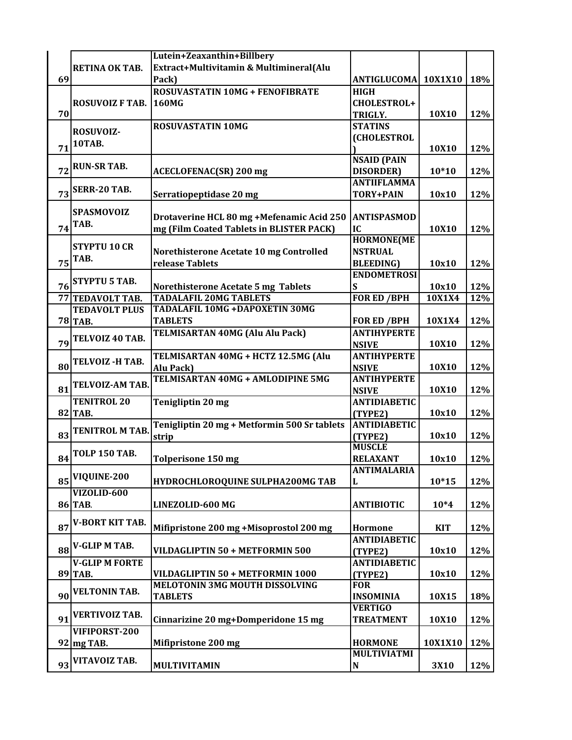|    |                        | Lutein+Zeaxanthin+Billbery                                           |                           |            |     |
|----|------------------------|----------------------------------------------------------------------|---------------------------|------------|-----|
|    | <b>RETINA OK TAB.</b>  | Extract+Multivitamin & Multimineral(Alu                              |                           |            |     |
| 69 |                        | Pack)                                                                | ANTIGLUCOMA 10X1X10   18% |            |     |
|    |                        | <b>ROSUVASTATIN 10MG + FENOFIBRATE</b>                               | <b>HIGH</b>               |            |     |
|    | <b>ROSUVOIZ F TAB.</b> | <b>160MG</b>                                                         | <b>CHOLESTROL+</b>        |            |     |
| 70 |                        |                                                                      | <b>TRIGLY.</b>            | 10X10      | 12% |
|    |                        | <b>ROSUVASTATIN 10MG</b>                                             | <b>STATINS</b>            |            |     |
|    | ROSUVOIZ-              |                                                                      | <b>(CHOLESTROL</b>        |            |     |
| 71 | <b>10TAB.</b>          |                                                                      |                           | 10X10      | 12% |
|    |                        |                                                                      | <b>NSAID (PAIN</b>        |            |     |
| 72 | <b>RUN-SR TAB.</b>     | <b>ACECLOFENAC(SR) 200 mg</b>                                        | <b>DISORDER</b> )         | $10*10$    | 12% |
|    |                        |                                                                      | <b>ANTIIFLAMMA</b>        |            |     |
| 73 | <b>SERR-20 TAB.</b>    | Serratiopeptidase 20 mg                                              | <b>TORY+PAIN</b>          | 10x10      | 12% |
|    |                        |                                                                      |                           |            |     |
|    | SPASMOVOIZ             | Drotaverine HCL 80 mg +Mefenamic Acid 250                            | <b>ANTISPASMOD</b>        |            |     |
| 74 | TAB.                   | mg (Film Coated Tablets in BLISTER PACK)                             | IC                        | 10X10      | 12% |
|    |                        |                                                                      | <b>HORMONE(ME</b>         |            |     |
|    | <b>STYPTU 10 CR</b>    | Norethisterone Acetate 10 mg Controlled                              | <b>NSTRUAL</b>            |            |     |
| 75 | TAB.                   | release Tablets                                                      | <b>BLEEDING</b> )         | 10x10      | 12% |
|    |                        |                                                                      | <b>ENDOMETROSI</b>        |            |     |
| 76 | <b>STYPTU 5 TAB.</b>   |                                                                      | S                         | 10x10      |     |
|    |                        | Norethisterone Acetate 5 mg Tablets<br><b>TADALAFIL 20MG TABLETS</b> | <b>FOR ED / BPH</b>       | 10X1X4     | 12% |
|    | 77 TEDAVOLT TAB.       | <b>TADALAFIL 10MG +DAPOXETIN 30MG</b>                                |                           |            | 12% |
|    | <b>TEDAVOLT PLUS</b>   |                                                                      |                           |            |     |
|    | <b>78 TAB.</b>         | <b>TABLETS</b>                                                       | <b>FOR ED /BPH</b>        | 10X1X4     | 12% |
|    | TELVOIZ 40 TAB.        | <b>TELMISARTAN 40MG (Alu Alu Pack)</b>                               | <b>ANTIHYPERTE</b>        |            |     |
| 79 |                        |                                                                      | <b>NSIVE</b>              | 10X10      | 12% |
|    | TELVOIZ -H TAB.        | TELMISARTAN 40MG + HCTZ 12.5MG (Alu                                  | <b>ANTIHYPERTE</b>        |            |     |
| 80 |                        | Alu Pack)                                                            | <b>NSIVE</b>              | 10X10      | 12% |
|    | <b>TELVOIZ-AM TAB.</b> | TELMISARTAN 40MG + AMLODIPINE 5MG                                    | <b>ANTIHYPERTE</b>        |            |     |
| 81 |                        |                                                                      | <b>NSIVE</b>              | 10X10      | 12% |
|    | <b>TENITROL 20</b>     | <b>Tenigliptin 20 mg</b>                                             | <b>ANTIDIABETIC</b>       |            |     |
|    | <b>82 TAB.</b>         |                                                                      | (TYPE2)                   | 10x10      | 12% |
|    | <b>TENITROL M TAB.</b> | Tenigliptin 20 mg + Metformin 500 Sr tablets                         | <b>ANTIDIABETIC</b>       |            |     |
| 83 |                        | strip                                                                | (TYPE2)                   | 10x10      | 12% |
|    | <b>TOLP 150 TAB.</b>   |                                                                      | <b>MUSCLE</b>             |            |     |
| 84 |                        | <b>Tolperisone 150 mg</b>                                            | <b>RELAXANT</b>           | 10x10      | 12% |
|    | VIQUINE-200            |                                                                      | <b>ANTIMALARIA</b>        |            |     |
| 85 |                        | HYDROCHLOROQUINE SULPHA200MG TAB                                     | L                         | $10*15$    | 12% |
|    | VIZOLID-600            |                                                                      |                           |            |     |
|    | 86 TAB.                | LINEZOLID-600 MG                                                     | <b>ANTIBIOTIC</b>         | $10*4$     | 12% |
|    |                        |                                                                      |                           |            |     |
| 87 | <b>V-BORT KIT TAB.</b> | Mifipristone 200 mg +Misoprostol 200 mg                              | Hormone                   | <b>KIT</b> | 12% |
|    |                        |                                                                      | <b>ANTIDIABETIC</b>       |            |     |
| 88 | V-GLIP M TAB.          | VILDAGLIPTIN 50 + METFORMIN 500                                      | (TYPE2)                   | 10x10      | 12% |
|    | <b>V-GLIP M FORTE</b>  |                                                                      | <b>ANTIDIABETIC</b>       |            |     |
|    | 89 TAB.                | VILDAGLIPTIN 50 + METFORMIN 1000                                     | (TYPE2)                   | 10x10      | 12% |
|    |                        | <b>MELOTONIN 3MG MOUTH DISSOLVING</b>                                | <b>FOR</b>                |            |     |
| 90 | <b>VELTONIN TAB.</b>   | <b>TABLETS</b>                                                       | <b>INSOMINIA</b>          | 10X15      | 18% |
|    |                        |                                                                      | <b>VERTIGO</b>            |            |     |
| 91 | <b>VERTIVOIZ TAB.</b>  | Cinnarizine 20 mg+Domperidone 15 mg                                  | <b>TREATMENT</b>          | 10X10      | 12% |
|    | VIFIPORST-200          |                                                                      |                           |            |     |
|    | 92 mg TAB.             | Mifipristone 200 mg                                                  | <b>HORMONE</b>            | 10X1X10    | 12% |
|    |                        |                                                                      | <b>MULTIVIATMI</b>        |            |     |
| 93 | VITAVOIZ TAB.          | <b>MULTIVITAMIN</b>                                                  | ${\bf N}$                 | 3X10       | 12% |
|    |                        |                                                                      |                           |            |     |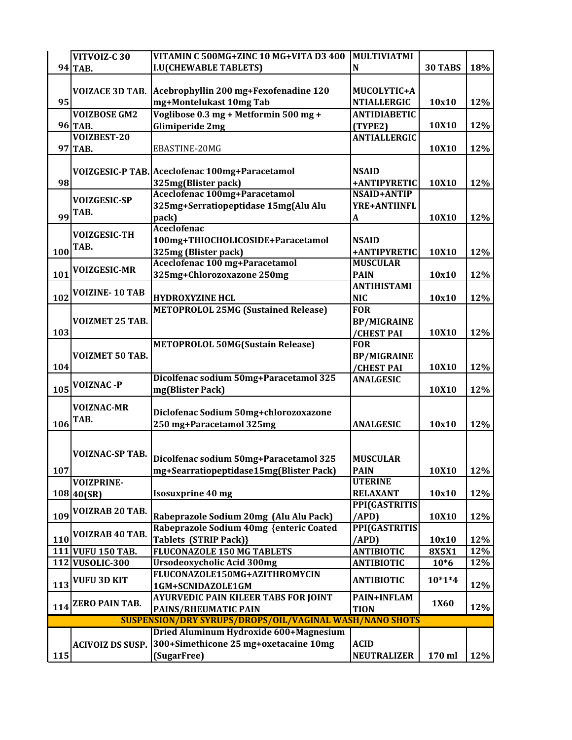|     | VITVOIZ-C 30            | VITAMIN C 500MG+ZINC 10 MG+VITA D3 400                  | <b>MULTIVIATMI</b>  |              |            |
|-----|-------------------------|---------------------------------------------------------|---------------------|--------------|------------|
|     | 94 TAB.                 | <b>I.U(CHEWABLE TABLETS)</b>                            | N                   | 30 TABS      | 18%        |
|     |                         |                                                         |                     |              |            |
|     | <b>VOIZACE 3D TAB.</b>  | Acebrophyllin 200 mg+Fexofenadine 120                   | MUCOLYTIC+A         |              |            |
| 95  |                         | mg+Montelukast 10mg Tab                                 | <b>NTIALLERGIC</b>  | 10x10        | 12%        |
|     | <b>VOIZBOSE GM2</b>     | Voglibose 0.3 mg + Metformin 500 mg +                   | <b>ANTIDIABETIC</b> |              |            |
|     | 96 TAB.                 | Glimiperide 2mg                                         | (TYPE2)             | 10X10        | 12%        |
|     | VOIZBEST-20             |                                                         | <b>ANTIALLERGIC</b> |              |            |
|     | 97 TAB.                 | EBASTINE-20MG                                           |                     | 10X10        | 12%        |
|     |                         |                                                         |                     |              |            |
|     |                         | VOIZGESIC-P TAB. Aceclofenac 100mg+Paracetamol          | <b>NSAID</b>        |              |            |
| 98  |                         | 325mg(Blister pack)                                     | +ANTIPYRETIC        | 10X10        | 12%        |
|     |                         | <b>Aceclofenac 100mg+Paracetamol</b>                    | <b>NSAID+ANTIP</b>  |              |            |
|     | <b>VOIZGESIC-SP</b>     |                                                         |                     |              |            |
| 99  | TAB.                    | 325mg+Serratiopeptidase 15mg(Alu Alu                    | <b>YRE+ANTIINFL</b> |              |            |
|     |                         | pack)                                                   | A                   | 10X10        | 12%        |
|     | <b>VOIZGESIC-TH</b>     | <b>Aceclofenac</b>                                      |                     |              |            |
|     | TAB.                    | 100mg+THIOCHOLICOSIDE+Paracetamol                       | <b>NSAID</b>        |              |            |
| 100 |                         | 325mg (Blister pack)                                    | +ANTIPYRETIC        | 10X10        | 12%        |
|     | <b>VOIZGESIC-MR</b>     | Aceclofenac 100 mg+Paracetamol                          | <b>MUSCULAR</b>     |              |            |
| 101 |                         | 325mg+Chlorozoxazone 250mg                              | <b>PAIN</b>         | 10x10        | 12%        |
|     | <b>VOIZINE-10 TAB</b>   |                                                         | <b>ANTIHISTAMI</b>  |              |            |
| 102 |                         | <b>HYDROXYZINE HCL</b>                                  | <b>NIC</b>          | 10x10        | 12%        |
|     |                         | <b>METOPROLOL 25MG (Sustained Release)</b>              | <b>FOR</b>          |              |            |
|     | <b>VOIZMET 25 TAB.</b>  |                                                         | <b>BP/MIGRAINE</b>  |              |            |
| 103 |                         |                                                         | /CHEST PAI          | 10X10        | 12%        |
|     |                         | <b>METOPROLOL 50MG(Sustain Release)</b>                 | <b>FOR</b>          |              |            |
|     | VOIZMET 50 TAB.         |                                                         | <b>BP/MIGRAINE</b>  |              |            |
| 104 |                         |                                                         | /CHEST PAI          | 10X10        | 12%        |
|     |                         | Dicolfenac sodium 50mg+Paracetamol 325                  | <b>ANALGESIC</b>    |              |            |
| 105 | <b>VOIZNAC -P</b>       | mg(Blister Pack)                                        |                     | 10X10        | 12%        |
|     |                         |                                                         |                     |              |            |
|     | <b>VOIZNAC-MR</b>       | Diclofenac Sodium 50mg+chlorozoxazone                   |                     |              |            |
| 106 | TAB.                    | 250 mg+Paracetamol 325mg                                | <b>ANALGESIC</b>    | 10x10        | 12%        |
|     |                         |                                                         |                     |              |            |
|     |                         |                                                         |                     |              |            |
|     | <b>VOIZNAC-SP TAB.</b>  |                                                         | <b>MUSCULAR</b>     |              |            |
|     |                         | Dicolfenac sodium 50mg+Paracetamol 325                  |                     |              |            |
| 107 |                         | mg+Searratiopeptidase15mg(Blister Pack)                 | <b>PAIN</b>         | <b>10X10</b> | <b>12%</b> |
|     | <b>VOIZPRINE-</b>       |                                                         | <b>UTERINE</b>      |              |            |
|     | 108 40(SR)              | <b>Isosuxprine 40 mg</b>                                | <b>RELAXANT</b>     | 10x10        | 12%        |
|     | VOIZRAB 20 TAB.         |                                                         | PPI(GASTRITIS       |              |            |
| 109 |                         | Rabeprazole Sodium 20mg (Alu Alu Pack)                  | (APD)               | 10X10        | 12%        |
|     | VOIZRAB 40 TAB.         | Rabeprazole Sodium 40mg {enteric Coated                 | PPI(GASTRITIS       |              |            |
| 110 |                         | <b>Tablets (STRIP Pack)}</b>                            | /APD)               | 10x10        | 12%        |
|     | 111 VUFU 150 TAB.       | <b>FLUCONAZOLE 150 MG TABLETS</b>                       | <b>ANTIBIOTIC</b>   | 8X5X1        | 12%        |
|     | 112 VUSOLIC-300         | <b>Ursodeoxycholic Acid 300mg</b>                       | <b>ANTIBIOTIC</b>   | $10*6$       | 12%        |
|     | <b>VUFU 3D KIT</b>      | FLUCONAZOLE150MG+AZITHROMYCIN                           |                     | $10*1*4$     |            |
| 113 |                         | 1GM+SCNIDAZOLE1GM                                       | <b>ANTIBIOTIC</b>   |              | 12%        |
|     |                         | <b>AYURVEDIC PAIN KILEER TABS FOR JOINT</b>             | PAIN+INFLAM         |              |            |
| 114 | <b>ZERO PAIN TAB.</b>   | <b>PAINS/RHEUMATIC PAIN</b>                             | <b>TION</b>         | 1X60         | 12%        |
|     |                         | SUSPENSION/DRY SYRUPS/DROPS/OIL/VAGINAL WASH/NANO SHOTS |                     |              |            |
|     |                         | Dried Aluminum Hydroxide 600+Magnesium                  |                     |              |            |
|     | <b>ACIVOIZ DS SUSP.</b> | 300+Simethicone 25 mg+oxetacaine 10mg                   | <b>ACID</b>         |              |            |
| 115 |                         | (SugarFree)                                             | <b>NEUTRALIZER</b>  | 170 ml       | 12%        |
|     |                         |                                                         |                     |              |            |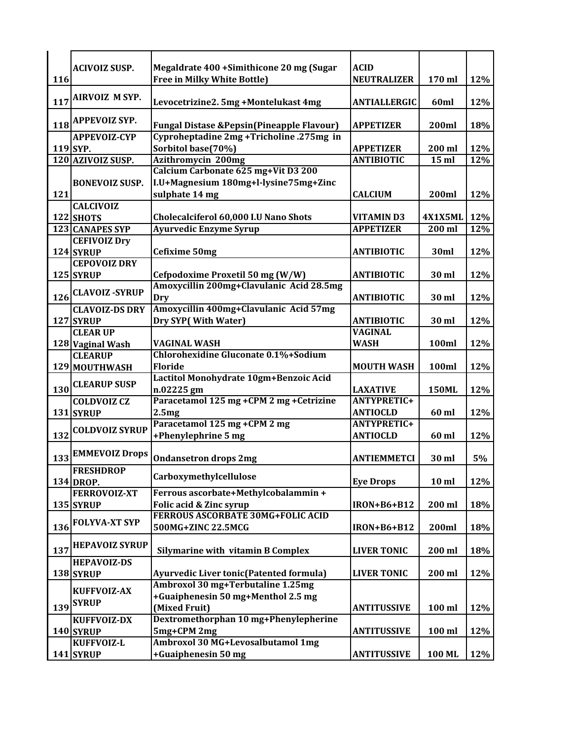|     | <b>ACIVOIZ SUSP.</b>  | Megaldrate 400 + Simithicone 20 mg (Sugar              | <b>ACID</b>         |                  |     |
|-----|-----------------------|--------------------------------------------------------|---------------------|------------------|-----|
| 116 |                       | <b>Free in Milky White Bottle)</b>                     | <b>NEUTRALIZER</b>  | 170 ml           | 12% |
|     | <b>AIRVOIZ M SYP.</b> |                                                        |                     |                  |     |
| 117 |                       | Levocetrizine2. 5mg +Montelukast 4mg                   | <b>ANTIALLERGIC</b> | 60ml             | 12% |
| 118 | <b>APPEVOIZ SYP.</b>  | <b>Fungal Distase &amp; Pepsin (Pineapple Flavour)</b> | <b>APPETIZER</b>    | 200ml            | 18% |
|     | <b>APPEVOIZ-CYP</b>   | Cyproheptadine 2mg +Tricholine .275mg in               |                     |                  |     |
|     | 119 SYP.              | Sorbitol base(70%)                                     | <b>APPETIZER</b>    | 200 ml           | 12% |
|     | 120 AZIVOIZ SUSP.     | Azithromycin 200mg                                     | <b>ANTIBIOTIC</b>   | 15 ml            | 12% |
|     |                       | Calcium Carbonate 625 mg+Vit D3 200                    |                     |                  |     |
|     | <b>BONEVOIZ SUSP.</b> | I.U+Magnesium 180mg+l-lysine75mg+Zinc                  |                     |                  |     |
| 121 |                       | sulphate 14 mg                                         | <b>CALCIUM</b>      | 200ml            | 12% |
|     | <b>CALCIVOIZ</b>      |                                                        |                     |                  |     |
|     | <b>122 SHOTS</b>      | Cholecalciferol 60,000 I.U Nano Shots                  | <b>VITAMIND3</b>    | 4X1X5ML          | 12% |
|     | 123 CANAPES SYP       | <b>Ayurvedic Enzyme Syrup</b>                          | <b>APPETIZER</b>    | 200 ml           | 12% |
|     | <b>CEFIVOIZ Dry</b>   |                                                        |                     |                  |     |
|     | 124 SYRUP             | Cefixime 50mg                                          | <b>ANTIBIOTIC</b>   | 30ml             | 12% |
|     | <b>CEPOVOIZ DRY</b>   |                                                        |                     |                  |     |
|     |                       | Cefpodoxime Proxetil 50 mg (W/W)                       |                     | 30 ml            |     |
|     | 125 SYRUP             | Amoxycillin 200mg+Clavulanic Acid 28.5mg               | <b>ANTIBIOTIC</b>   |                  | 12% |
|     | <b>CLAVOIZ-SYRUP</b>  |                                                        |                     |                  |     |
| 126 |                       | Dry                                                    | <b>ANTIBIOTIC</b>   | 30 ml            | 12% |
|     | <b>CLAVOIZ-DS DRY</b> | Amoxycillin 400mg+Clavulanic Acid 57mg                 |                     |                  |     |
|     | 127 SYRUP             | Dry SYP(With Water)                                    | <b>ANTIBIOTIC</b>   | 30 ml            | 12% |
|     | <b>CLEAR UP</b>       |                                                        | <b>VAGINAL</b>      |                  |     |
|     | 128 Vaginal Wash      | <b>VAGINAL WASH</b>                                    | <b>WASH</b>         | 100ml            | 12% |
|     | <b>CLEARUP</b>        | Chlorohexidine Gluconate 0.1%+Sodium                   |                     |                  |     |
|     | 129 MOUTHWASH         | <b>Floride</b>                                         | <b>MOUTH WASH</b>   | 100ml            | 12% |
|     | <b>CLEARUP SUSP</b>   | Lactitol Monohydrate 10gm+Benzoic Acid                 |                     |                  |     |
| 130 |                       | n.02225 gm                                             | <b>LAXATIVE</b>     | <b>150ML</b>     | 12% |
|     | <b>COLDVOIZ CZ</b>    | Paracetamol 125 mg +CPM 2 mg +Cetrizine                | <b>ANTYPRETIC+</b>  |                  |     |
|     | 131 SYRUP             | 2.5mg                                                  | <b>ANTIOCLD</b>     | 60 ml            | 12% |
|     | <b>COLDVOIZ SYRUP</b> | Paracetamol 125 mg +CPM 2 mg                           | <b>ANTYPRETIC+</b>  |                  |     |
| 132 |                       | +Phenylephrine 5 mg                                    | <b>ANTIOCLD</b>     | 60 ml            | 12% |
|     | 133 EMMEVOIZ Drops    |                                                        |                     |                  |     |
|     |                       | <b>Ondansetron drops 2mg</b>                           | <b>ANTIEMMETCI</b>  | 30 ml            | 5%  |
|     | <b>FRESHDROP</b>      | Carboxymethylcellulose                                 |                     |                  |     |
|     | 134 DROP.             |                                                        | <b>Eye Drops</b>    | 10 <sub>ml</sub> | 12% |
|     | <b>FERROVOIZ-XT</b>   | Ferrous ascorbate+Methylcobalammin +                   |                     |                  |     |
|     | 135 SYRUP             | Folic acid & Zinc syrup                                | <b>IRON+B6+B12</b>  | 200 ml           | 18% |
|     | <b>FOLYVA-XT SYP</b>  | <b>FERROUS ASCORBATE 30MG+FOLIC ACID</b>               |                     |                  |     |
| 136 |                       | 500MG+ZINC 22.5MCG                                     | <b>IRON+B6+B12</b>  | 200ml            | 18% |
|     | <b>HEPAVOIZ SYRUP</b> |                                                        |                     |                  |     |
| 137 |                       | <b>Silymarine with vitamin B Complex</b>               | <b>LIVER TONIC</b>  | 200 ml           | 18% |
|     | <b>HEPAVOIZ-DS</b>    |                                                        |                     |                  |     |
|     | 138 SYRUP             | <b>Ayurvedic Liver tonic (Patented formula)</b>        | <b>LIVER TONIC</b>  | 200 ml           | 12% |
|     |                       | Ambroxol 30 mg+Terbutaline 1.25mg                      |                     |                  |     |
|     | <b>KUFFVOIZ-AX</b>    | +Guaiphenesin 50 mg+Menthol 2.5 mg                     |                     |                  |     |
|     | 139 SYRUP             | (Mixed Fruit)                                          | <b>ANTITUSSIVE</b>  | 100 ml           | 12% |
|     | <b>KUFFVOIZ-DX</b>    | Dextromethorphan 10 mg+Phenylepherine                  |                     |                  |     |
|     | 140 SYRUP             | 5mg+CPM 2mg                                            | <b>ANTITUSSIVE</b>  | 100 ml           | 12% |
|     | KUFFVOIZ-L            | Ambroxol 30 MG+Levosalbutamol 1mg                      |                     |                  |     |
|     | 141 SYRUP             | +Guaiphenesin 50 mg                                    | <b>ANTITUSSIVE</b>  | 100 ML           | 12% |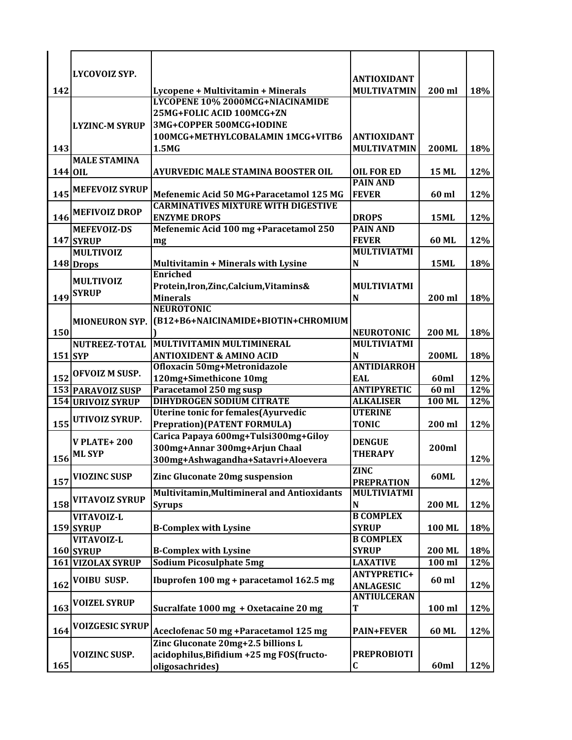|           | LYCOVOIZ SYP.            |                                                    | <b>ANTIOXIDANT</b> |               |     |
|-----------|--------------------------|----------------------------------------------------|--------------------|---------------|-----|
| 142       |                          | Lycopene + Multivitamin + Minerals                 | <b>MULTIVATMIN</b> | 200 ml        | 18% |
|           |                          | <b>LYCOPENE 10% 2000MCG+NIACINAMIDE</b>            |                    |               |     |
|           |                          | 25MG+FOLIC ACID 100MCG+ZN                          |                    |               |     |
|           | <b>LYZINC-M SYRUP</b>    | 3MG+COPPER 500MCG+IODINE                           |                    |               |     |
|           |                          | 100MCG+METHYLCOBALAMIN 1MCG+VITB6                  | <b>ANTIOXIDANT</b> |               |     |
| 143       |                          | 1.5MG                                              | <b>MULTIVATMIN</b> | <b>200ML</b>  | 18% |
|           | <b>MALE STAMINA</b>      |                                                    |                    |               |     |
| 144 OIL   |                          | AYURVEDIC MALE STAMINA BOOSTER OIL                 | <b>OIL FOR ED</b>  | <b>15 ML</b>  | 12% |
|           |                          |                                                    | <b>PAIN AND</b>    |               |     |
| 145       | <b>MEFEVOIZ SYRUP</b>    | Mefenemic Acid 50 MG+Paracetamol 125 MG            | <b>FEVER</b>       | 60 ml         | 12% |
|           |                          | <b>CARMINATIVES MIXTURE WITH DIGESTIVE</b>         |                    |               |     |
| 146       | <b>MEFIVOIZ DROP</b>     | <b>ENZYME DROPS</b>                                | <b>DROPS</b>       | <b>15ML</b>   | 12% |
|           | <b>MEFEVOIZ-DS</b>       | Mefenemic Acid 100 mg + Paracetamol 250            | <b>PAIN AND</b>    |               |     |
|           | 147 SYRUP                | mg                                                 | <b>FEVER</b>       | 60 ML         | 12% |
|           | <b>MULTIVOIZ</b>         |                                                    | <b>MULTIVIATMI</b> |               |     |
|           | 148 Drops                | <b>Multivitamin + Minerals with Lysine</b>         | N                  | <b>15ML</b>   | 18% |
|           |                          | <b>Enriched</b>                                    |                    |               |     |
|           | <b>MULTIVOIZ</b>         | Protein, Iron, Zinc, Calcium, Vitamins&            | <b>MULTIVIATMI</b> |               |     |
| 149       | <b>SYRUP</b>             | <b>Minerals</b>                                    | N                  | 200 ml        | 18% |
|           |                          | <b>NEUROTONIC</b>                                  |                    |               |     |
|           | <b>MIONEURON SYP.</b>    | (B12+B6+NAICINAMIDE+BIOTIN+CHROMIUM                |                    |               |     |
| 150       |                          |                                                    | <b>NEUROTONIC</b>  | <b>200 ML</b> | 18% |
|           | <b>NUTREEZ-TOTAL</b>     | MULTIVITAMIN MULTIMINERAL                          | <b>MULTIVIATMI</b> |               |     |
| $151$ SYP |                          | <b>ANTIOXIDENT &amp; AMINO ACID</b>                | N                  | <b>200ML</b>  | 18% |
|           |                          | <b>Ofloxacin 50mg+Metronidazole</b>                | <b>ANTIDIARROH</b> |               |     |
| 152       | OFVOIZ M SUSP.           | 120mg+Simethicone 10mg                             | EAL                | 60ml          | 12% |
|           | 153 PARAVOIZ SUSP        | Paracetamol 250 mg susp                            | <b>ANTIPYRETIC</b> | $60$ ml       | 12% |
|           | <b>154 URIVOIZ SYRUP</b> | <b>DIHYDROGEN SODIUM CITRATE</b>                   | <b>ALKALISER</b>   | 100 ML        | 12% |
|           | UTIVOIZ SYRUP.           | <b>Uterine tonic for females (Ayurvedic</b>        | <b>UTERINE</b>     |               |     |
| 155       |                          | <b>Prepration) (PATENT FORMULA)</b>                | <b>TONIC</b>       | 200 ml        | 12% |
|           | <b>V PLATE+ 200</b>      | Carica Papaya 600mg+Tulsi300mg+Giloy               | <b>DENGUE</b>      |               |     |
|           | <b>ML SYP</b>            | 300mg+Annar 300mg+Arjun Chaal                      | <b>THERAPY</b>     | 200ml         |     |
| 156       |                          | 300mg+Ashwagandha+Satavri+Aloevera                 |                    |               | 12% |
|           | <b>VIOZINC SUSP</b>      | Zinc Gluconate 20mg suspension                     | <b>ZINC</b>        | <b>60ML</b>   |     |
| 157       |                          |                                                    | <b>PREPRATION</b>  |               | 12% |
|           | <b>VITAVOIZ SYRUP</b>    | <b>Multivitamin, Multimineral and Antioxidants</b> | <b>MULTIVIATMI</b> |               |     |
| 158       |                          | <b>Syrups</b>                                      | ${\bf N}$          | 200 ML        | 12% |
|           | VITAVOIZ-L               |                                                    | <b>B COMPLEX</b>   |               |     |
|           | 159 SYRUP                | <b>B-Complex with Lysine</b>                       | <b>SYRUP</b>       | 100 ML        | 18% |
|           | VITAVOIZ-L               |                                                    | <b>B COMPLEX</b>   |               |     |
|           | 160 SYRUP                | <b>B-Complex with Lysine</b>                       | <b>SYRUP</b>       | 200 ML        | 18% |
|           | 161 VIZOLAX SYRUP        | <b>Sodium Picosulphate 5mg</b>                     | <b>LAXATIVE</b>    | 100 ml        | 12% |
|           | <b>VOIBU SUSP.</b>       | Ibuprofen 100 mg + paracetamol 162.5 mg            | <b>ANTYPRETIC+</b> | 60 ml         |     |
| 162       |                          |                                                    | <b>ANLAGESIC</b>   |               | 12% |
|           | <b>VOIZEL SYRUP</b>      |                                                    | <b>ANTIULCERAN</b> |               |     |
| 163       |                          | Sucralfate 1000 mg + Oxetacaine 20 mg              | T                  | 100 ml        | 12% |
| 164       | <b>VOIZGESIC SYRUP</b>   | Aceclofenac 50 mg +Paracetamol 125 mg              | <b>PAIN+FEVER</b>  | 60 ML         | 12% |
|           |                          | Zinc Gluconate 20mg+2.5 billions L                 |                    |               |     |
|           | <b>VOIZINC SUSP.</b>     | acidophilus, Bifidium +25 mg FOS (fructo-          | <b>PREPROBIOTI</b> |               |     |
| 165       |                          | oligosachrides)                                    | $\mathbf C$        | 60ml          | 12% |
|           |                          |                                                    |                    |               |     |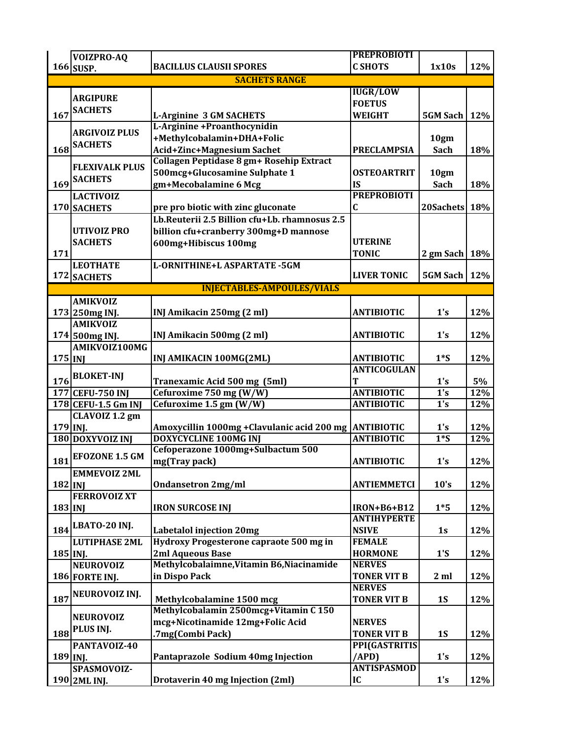|            | VOIZPRO-AQ            |                                                        | <b>PREPROBIOTI</b> |                     |     |
|------------|-----------------------|--------------------------------------------------------|--------------------|---------------------|-----|
|            | 166 SUSP.             | <b>BACILLUS CLAUSII SPORES</b>                         | <b>C SHOTS</b>     | 1x10s               | 12% |
|            |                       | <b>SACHETS RANGE</b>                                   |                    |                     |     |
|            |                       |                                                        | <b>IUGR/LOW</b>    |                     |     |
|            | <b>ARGIPURE</b>       |                                                        | <b>FOETUS</b>      |                     |     |
| 167        | <b>SACHETS</b>        | <b>L-Arginine 3 GM SACHETS</b>                         | <b>WEIGHT</b>      | <b>5GM Sach</b>     | 12% |
|            |                       | L-Arginine +Proanthocynidin                            |                    |                     |     |
|            | <b>ARGIVOIZ PLUS</b>  | +Methylcobalamin+DHA+Folic                             |                    | 10gm                |     |
| 168        | <b>SACHETS</b>        | <b>Acid+Zinc+Magnesium Sachet</b>                      | <b>PRECLAMPSIA</b> | <b>Sach</b>         | 18% |
|            |                       | Collagen Peptidase 8 gm+ Rosehip Extract               |                    |                     |     |
|            | <b>FLEXIVALK PLUS</b> | 500mcg+Glucosamine Sulphate 1                          | <b>OSTEOARTRIT</b> | 10gm                |     |
| 169        | <b>SACHETS</b>        | gm+Mecobalamine 6 Mcg                                  | <b>IS</b>          | <b>Sach</b>         | 18% |
|            | <b>LACTIVOIZ</b>      |                                                        | <b>PREPROBIOTI</b> |                     |     |
|            | 170 SACHETS           | pre pro biotic with zinc gluconate                     | $\mathbf C$        | 20Sachets 18%       |     |
|            |                       | Lb.Reuterii 2.5 Billion cfu+Lb. rhamnosus 2.5          |                    |                     |     |
|            |                       |                                                        |                    |                     |     |
|            | <b>UTIVOIZ PRO</b>    | billion cfu+cranberry 300mg+D mannose                  | <b>UTERINE</b>     |                     |     |
|            | <b>SACHETS</b>        | 600mg+Hibiscus 100mg                                   |                    |                     |     |
| 171        |                       |                                                        | <b>TONIC</b>       | 2 gm Sach           | 18% |
|            | <b>LEOTHATE</b>       | L-ORNITHINE+L ASPARTATE -5GM                           |                    |                     |     |
|            | 172 SACHETS           |                                                        | <b>LIVER TONIC</b> | <b>5GM Sach 12%</b> |     |
|            |                       | <b>INJECTABLES-AMPOULES/VIALS</b>                      |                    |                     |     |
|            | <b>AMIKVOIZ</b>       |                                                        |                    |                     |     |
|            | 173 250mg INJ.        | INJ Amikacin 250mg (2 ml)                              | <b>ANTIBIOTIC</b>  | 1's                 | 12% |
|            | <b>AMIKVOIZ</b>       |                                                        |                    |                     |     |
|            | 174 500mg INJ.        | INJ Amikacin 500mg (2 ml)                              | <b>ANTIBIOTIC</b>  | 1's                 | 12% |
|            | AMIKVOIZ100MG         |                                                        |                    |                     |     |
| $175$  INJ |                       | INJ AMIKACIN 100MG(2ML)                                | <b>ANTIBIOTIC</b>  | $1*S$               | 12% |
|            |                       |                                                        | <b>ANTICOGULAN</b> |                     |     |
| 176        | <b>BLOKET-INJ</b>     | Tranexamic Acid 500 mg (5ml)                           | Т                  | 1's                 | 5%  |
|            | 177 CEFU-750 INJ      | Cefuroxime 750 mg (W/W)                                | <b>ANTIBIOTIC</b>  | 1's                 | 12% |
|            | 178 CEFU-1.5 Gm INJ   | Cefuroxime 1.5 gm (W/W)                                | <b>ANTIBIOTIC</b>  | 1's                 | 12% |
|            | CLAVOIZ 1.2 gm        |                                                        |                    |                     |     |
|            | 179 INJ.              | Amoxycillin 1000mg + Clavulanic acid 200 mg ANTIBIOTIC |                    | 1's                 | 12% |
|            | 180 DOXYVOIZ INJ      | <b>DOXYCYCLINE 100MG INJ</b>                           | <b>ANTIBIOTIC</b>  | $1*5$               | 12% |
|            |                       | Cefoperazone 1000mg+Sulbactum 500                      |                    |                     |     |
| 181        | <b>EFOZONE 1.5 GM</b> | mg(Tray pack)                                          | <b>ANTIBIOTIC</b>  | 1's                 | 12% |
|            | <b>EMMEVOIZ 2ML</b>   |                                                        |                    |                     |     |
| $182$ IN   |                       | <b>Ondansetron 2mg/ml</b>                              | <b>ANTIEMMETCI</b> | 10's                | 12% |
|            | <b>FERROVOIZ XT</b>   |                                                        |                    |                     |     |
| 183 INJ    |                       | <b>IRON SURCOSE INJ</b>                                | <b>IRON+B6+B12</b> | $1*5$               | 12% |
|            |                       |                                                        | <b>ANTIHYPERTE</b> |                     |     |
| 184        | LBATO-20 INJ.         | <b>Labetalol injection 20mg</b>                        | <b>NSIVE</b>       | 1s                  | 12% |
|            | <b>LUTIPHASE 2ML</b>  | Hydroxy Progesterone capraote 500 mg in                | <b>FEMALE</b>      |                     |     |
|            | 185   INJ.            | 2ml Aqueous Base                                       | <b>HORMONE</b>     | 1'S                 | 12% |
|            | <b>NEUROVOIZ</b>      | Methylcobalaimne, Vitamin B6, Niacinamide              | <b>NERVES</b>      |                     |     |
|            |                       | in Dispo Pack                                          | <b>TONER VIT B</b> |                     |     |
|            | 186 FORTE INJ.        |                                                        | <b>NERVES</b>      | 2 <sub>m</sub>      | 12% |
|            | NEUROVOIZ INJ.        |                                                        |                    |                     |     |
| 187        |                       | Methylcobalamine 1500 mcg                              | <b>TONER VIT B</b> | <b>1S</b>           | 12% |
|            | <b>NEUROVOIZ</b>      | Methylcobalamin 2500mcg+Vitamin C 150                  |                    |                     |     |
|            | PLUS INJ.             | mcg+Nicotinamide 12mg+Folic Acid                       | <b>NERVES</b>      |                     |     |
| 188        |                       | .7mg(Combi Pack)                                       | <b>TONER VIT B</b> | <b>1S</b>           | 12% |
|            | PANTAVOIZ-40          |                                                        | PPI(GASTRITIS      |                     |     |
|            | 189 INJ.              | Pantaprazole Sodium 40mg Injection                     | /APD)              | 1's                 | 12% |
|            | SPASMOVOIZ-           |                                                        | <b>ANTISPASMOD</b> |                     |     |
|            | 190 2ML INJ.          | Drotaverin 40 mg Injection (2ml)                       | IC                 | 1's                 | 12% |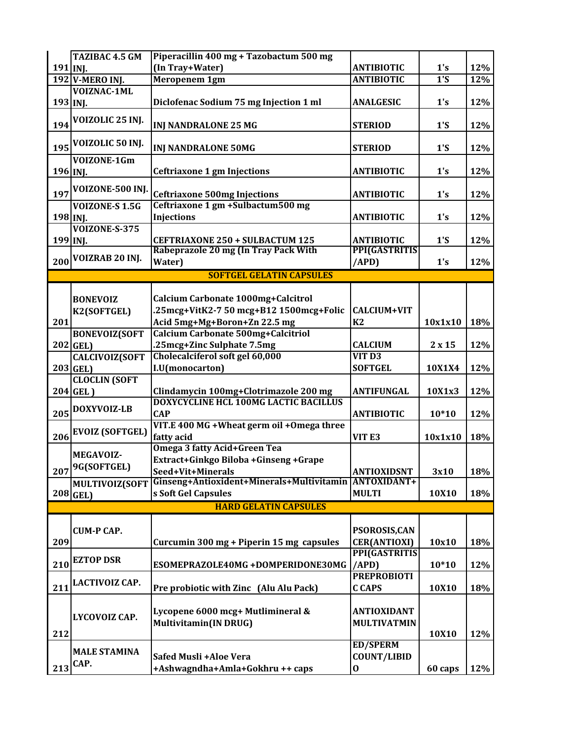|            | TAZIBAC 4.5 GM         | Piperacillin 400 mg + Tazobactum 500 mg                                        |                      |         |     |
|------------|------------------------|--------------------------------------------------------------------------------|----------------------|---------|-----|
| $191$ INJ. |                        | (In Tray+Water)                                                                | <b>ANTIBIOTIC</b>    | 1's     | 12% |
|            | <b>192 V-MERO INJ.</b> | Meropenem 1gm                                                                  | <b>ANTIBIOTIC</b>    | 1'S     | 12% |
|            | VOIZNAC-1ML            |                                                                                |                      |         |     |
| 193 INJ.   |                        | Diclofenac Sodium 75 mg Injection 1 ml                                         | <b>ANALGESIC</b>     | 1's     | 12% |
|            |                        |                                                                                |                      |         |     |
| 194        | VOIZOLIC 25 INJ.       | <b>INJ NANDRALONE 25 MG</b>                                                    | <b>STERIOD</b>       | 1'S     | 12% |
|            | VOIZOLIC 50 INJ.       |                                                                                |                      |         |     |
| 195        |                        | <b>INJ NANDRALONE 50MG</b>                                                     | <b>STERIOD</b>       | 1'S     | 12% |
|            | VOIZONE-1Gm            |                                                                                |                      |         |     |
| 196 INJ.   |                        | <b>Ceftriaxone 1 gm Injections</b>                                             | <b>ANTIBIOTIC</b>    | 1's     | 12% |
|            | VOIZONE-500 INJ.       |                                                                                |                      |         |     |
| 197        |                        | <b>Ceftriaxone 500mg Injections</b>                                            | <b>ANTIBIOTIC</b>    | 1's     | 12% |
|            | <b>VOIZONE-S 1.5G</b>  | Ceftriaxone 1 gm +Sulbactum500 mg                                              |                      |         |     |
| 198 INJ.   |                        | <b>Injections</b>                                                              | <b>ANTIBIOTIC</b>    | 1's     | 12% |
|            | VOIZONE-S-375          |                                                                                |                      |         |     |
| 199 INJ.   |                        | CEFTRIAXONE 250 + SULBACTUM 125                                                | <b>ANTIBIOTIC</b>    | 1'S     | 12% |
| 200        | VOIZRAB 20 INJ.        | Rabeprazole 20 mg (In Tray Pack With<br>Water)                                 | <b>PPI(GASTRITIS</b> |         |     |
|            |                        |                                                                                | (APD)                | 1's     | 12% |
|            |                        | <b>SOFTGEL GELATIN CAPSULES</b>                                                |                      |         |     |
|            |                        |                                                                                |                      |         |     |
|            | <b>BONEVOIZ</b>        | Calcium Carbonate 1000mg+Calcitrol                                             |                      |         |     |
|            | K2(SOFTGEL)            | .25mcg+VitK2-7 50 mcg+B12 1500mcg+Folic                                        | <b>CALCIUM+VIT</b>   |         |     |
| 201        |                        | Acid 5mg+Mg+Boron+Zn 22.5 mg                                                   | K2                   | 10x1x10 | 18% |
|            | <b>BONEVOIZ(SOFT</b>   | Calcium Carbonate 500mg+Calcitriol                                             |                      |         |     |
|            | $202$ GEL)             | .25mcg+Zinc Sulphate 7.5mg                                                     | <b>CALCIUM</b>       | 2x15    | 12% |
|            | <b>CALCIVOIZ(SOFT</b>  | Cholecalciferol soft gel 60,000                                                | VIT <sub>D3</sub>    |         |     |
|            | $203$ GEL)             | I.U(monocarton)                                                                | <b>SOFTGEL</b>       | 10X1X4  | 12% |
|            | <b>CLOCLIN (SOFT</b>   |                                                                                |                      |         |     |
|            | $204$ GEL)             | Clindamycin 100mg+Clotrimazole 200 mg<br>DOXYCYCLINE HCL 100MG LACTIC BACILLUS | <b>ANTIFUNGAL</b>    | 10X1x3  | 12% |
| 205        | DOXYVOIZ-LB            | <b>CAP</b>                                                                     | <b>ANTIBIOTIC</b>    |         | 12% |
|            |                        | VIT.E 400 MG + Wheat germ oil + Omega three                                    |                      | $10*10$ |     |
| 206        | <b>EVOIZ (SOFTGEL)</b> | fatty acid                                                                     | VIT <sub>E3</sub>    | 10x1x10 | 18% |
|            |                        | Omega 3 fatty Acid+Green Tea                                                   |                      |         |     |
|            | <b>MEGAVOIZ-</b>       | Extract+Ginkgo Biloba +Ginseng +Grape                                          |                      |         |     |
| 207        | 9G(SOFTGEL)            | Seed+Vit+Minerals                                                              | <b>ANTIOXIDSNT</b>   | 3x10    | 18% |
|            | MULTIVOIZ(SOFT         | Ginseng+Antioxident+Minerals+Multivitamin                                      | <b>ANTOXIDANT+</b>   |         |     |
|            | $208$ <sup>GEL</sup> ) | s Soft Gel Capsules                                                            | <b>MULTI</b>         | 10X10   | 18% |
|            |                        | <b>HARD GELATIN CAPSULES</b>                                                   |                      |         |     |
|            |                        |                                                                                |                      |         |     |
|            | <b>CUM-P CAP.</b>      |                                                                                | PSOROSIS, CAN        |         |     |
| 209        |                        | Curcumin 300 mg + Piperin 15 mg capsules                                       | <b>CER(ANTIOXI)</b>  | 10x10   | 18% |
|            |                        |                                                                                | PPI(GASTRITIS        |         |     |
| 210        | <b>EZTOP DSR</b>       | ESOMEPRAZOLE40MG+DOMPERIDONE30MG                                               | /APD)                | $10*10$ | 12% |
|            |                        |                                                                                | <b>PREPROBIOTI</b>   |         |     |
| 211        | <b>LACTIVOIZ CAP.</b>  | Pre probiotic with Zinc (Alu Alu Pack)                                         | <b>CCAPS</b>         | 10X10   | 18% |
|            |                        |                                                                                |                      |         |     |
|            |                        | Lycopene 6000 mcg+ Mutlimineral &                                              | <b>ANTIOXIDANT</b>   |         |     |
|            | LYCOVOIZ CAP.          | <b>Multivitamin(IN DRUG)</b>                                                   | <b>MULTIVATMIN</b>   |         |     |
| 212        |                        |                                                                                |                      | 10X10   | 12% |
|            |                        |                                                                                | <b>ED/SPERM</b>      |         |     |
|            | <b>MALE STAMINA</b>    |                                                                                |                      |         |     |
|            | CAP.                   | Safed Musli +Aloe Vera                                                         | <b>COUNT/LIBID</b>   |         |     |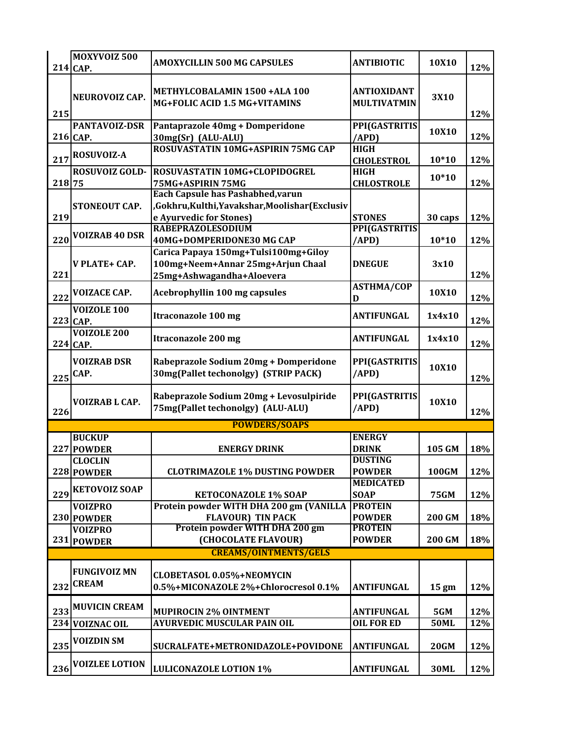|        | MOXYVOIZ 500<br>214 CAP.            | <b>AMOXYCILLIN 500 MG CAPSULES</b>                                            | <b>ANTIBIOTIC</b>                        | 10X10           | 12% |
|--------|-------------------------------------|-------------------------------------------------------------------------------|------------------------------------------|-----------------|-----|
| 215    | NEUROVOIZ CAP.                      | METHYLCOBALAMIN 1500 +ALA 100<br>MG+FOLIC ACID 1.5 MG+VITAMINS                | <b>ANTIOXIDANT</b><br><b>MULTIVATMIN</b> | 3X10            | 12% |
|        | PANTAVOIZ-DSR<br>216 CAP.           | Pantaprazole 40mg + Domperidone<br>30mg(Sr) (ALU-ALU)                         | PPI(GASTRITIS<br>/APD)                   | 10X10           | 12% |
|        |                                     | ROSUVASTATIN 10MG+ASPIRIN 75MG CAP                                            | <b>HIGH</b>                              |                 |     |
| 217    | ROSUVOIZ-A                          |                                                                               | <b>CHOLESTROL</b>                        | $10*10$         | 12% |
| 218 75 | ROSUVOIZ GOLD-                      | ROSUVASTATIN 10MG+CLOPIDOGREL<br>75MG+ASPIRIN 75MG                            | <b>HIGH</b><br><b>CHLOSTROLE</b>         | $10*10$         | 12% |
|        |                                     | Each Capsule has Pashabhed, varun                                             |                                          |                 |     |
|        | <b>STONEOUT CAP.</b>                | Gokhru, Kulthi, Yavakshar, Moolishar (Exclusiv                                |                                          |                 |     |
| 219    |                                     | e Ayurvedic for Stones)                                                       | <b>STONES</b>                            | 30 caps         | 12% |
|        | <b>VOIZRAB 40 DSR</b>               | <b>RABEPRAZOLESODIUM</b>                                                      | PPI(GASTRITIS                            |                 |     |
| 220    |                                     | 40MG+DOMPERIDONE30 MG CAP                                                     | /APD)                                    | $10*10$         | 12% |
|        | V PLATE+ CAP.                       | Carica Papaya 150mg+Tulsi100mg+Giloy<br>100mg+Neem+Annar 25mg+Arjun Chaal     | <b>DNEGUE</b>                            | 3x10            |     |
| 221    |                                     | 25mg+Ashwagandha+Aloevera                                                     |                                          |                 | 12% |
|        | <b>VOIZACE CAP.</b>                 |                                                                               | <b>ASTHMA/COP</b>                        | 10X10           |     |
| 222    |                                     | <b>Acebrophyllin 100 mg capsules</b>                                          | D                                        |                 | 12% |
|        | <b>VOIZOLE 100</b><br>$223$ CAP.    | <b>Itraconazole 100 mg</b>                                                    | <b>ANTIFUNGAL</b>                        | 1x4x10          | 12% |
|        | <b>VOIZOLE 200</b><br>224 CAP.      | <b>Itraconazole 200 mg</b>                                                    | <b>ANTIFUNGAL</b>                        | 1x4x10          | 12% |
| 225    | <b>VOIZRAB DSR</b><br>CAP.          | Rabeprazole Sodium 20mg + Domperidone<br>30mg(Pallet techonolgy) (STRIP PACK) | PPI(GASTRITIS<br>(APD)                   | 10X10           | 12% |
| 226    | VOIZRAB L CAP.                      | Rabeprazole Sodium 20mg + Levosulpiride<br>75mg(Pallet techonolgy) (ALU-ALU)  | PPI(GASTRITIS<br>/APD)                   | 10X10           | 12% |
|        |                                     | <b>POWDERS/SOAPS</b>                                                          |                                          |                 |     |
|        | <b>BUCKUP</b>                       |                                                                               | <b>ENERGY</b>                            |                 |     |
|        | 227 POWDER                          | <b>ENERGY DRINK</b>                                                           | <b>DRINK</b><br><b>DUSTING</b>           | 105 GM          | 18% |
|        | <b>CLOCLIN</b><br>228 POWDER        | <b>CLOTRIMAZOLE 1% DUSTING POWDER</b>                                         | <b>POWDER</b>                            | <b>100GM</b>    | 12% |
|        |                                     |                                                                               | <b>MEDICATED</b>                         |                 |     |
| 229    | <b>KETOVOIZ SOAP</b>                | <b>KETOCONAZOLE 1% SOAP</b>                                                   | <b>SOAP</b>                              | <b>75GM</b>     | 12% |
|        | <b>VOIZPRO</b>                      | Protein powder WITH DHA 200 gm (VANILLA                                       | <b>PROTEIN</b>                           |                 |     |
|        | 230 POWDER                          | <b>FLAVOUR) TIN PACK</b>                                                      | <b>POWDER</b>                            | 200 GM          | 18% |
|        | <b>VOIZPRO</b>                      | Protein powder WITH DHA 200 gm                                                | <b>PROTEIN</b>                           |                 |     |
|        | 231 POWDER                          | (CHOCOLATE FLAVOUR)<br><b>CREAMS/OINTMENTS/GELS</b>                           | <b>POWDER</b>                            | <b>200 GM</b>   | 18% |
|        |                                     |                                                                               |                                          |                 |     |
| 232    | <b>FUNGIVOIZ MN</b><br><b>CREAM</b> | CLOBETASOL 0.05%+NEOMYCIN<br>0.5%+MICONAZOLE 2%+Chlorocresol 0.1%             | ANTIFUNGAL                               | $15 \text{ gm}$ | 12% |
| 233    | <b>MUVICIN CREAM</b>                | <b>MUPIROCIN 2% OINTMENT</b>                                                  | <b>ANTIFUNGAL</b>                        | 5GM             | 12% |
| 234    | <b>VOIZNAC OIL</b>                  | <b>AYURVEDIC MUSCULAR PAIN OIL</b>                                            | <b>OIL FOR ED</b>                        | <b>50ML</b>     | 12% |
| 235    | <b>VOIZDIN SM</b>                   | SUCRALFATE+METRONIDAZOLE+POVIDONE                                             | <b>ANTIFUNGAL</b>                        | <b>20GM</b>     | 12% |
| 236    | <b>VOIZLEE LOTION</b>               | <b>LULICONAZOLE LOTION 1%</b>                                                 | <b>ANTIFUNGAL</b>                        | <b>30ML</b>     | 12% |